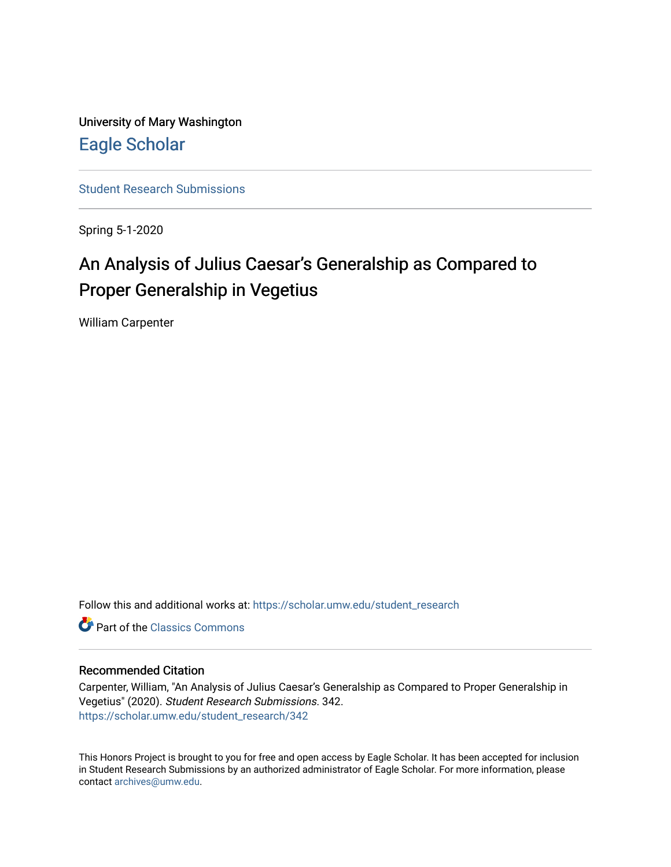University of Mary Washington [Eagle Scholar](https://scholar.umw.edu/) 

[Student Research Submissions](https://scholar.umw.edu/student_research) 

Spring 5-1-2020

## An Analysis of Julius Caesar's Generalship as Compared to Proper Generalship in Vegetius

William Carpenter

Follow this and additional works at: [https://scholar.umw.edu/student\\_research](https://scholar.umw.edu/student_research?utm_source=scholar.umw.edu%2Fstudent_research%2F342&utm_medium=PDF&utm_campaign=PDFCoverPages)

**C** Part of the [Classics Commons](http://network.bepress.com/hgg/discipline/446?utm_source=scholar.umw.edu%2Fstudent_research%2F342&utm_medium=PDF&utm_campaign=PDFCoverPages)

#### Recommended Citation

Carpenter, William, "An Analysis of Julius Caesar's Generalship as Compared to Proper Generalship in Vegetius" (2020). Student Research Submissions. 342. [https://scholar.umw.edu/student\\_research/342](https://scholar.umw.edu/student_research/342?utm_source=scholar.umw.edu%2Fstudent_research%2F342&utm_medium=PDF&utm_campaign=PDFCoverPages)

This Honors Project is brought to you for free and open access by Eagle Scholar. It has been accepted for inclusion in Student Research Submissions by an authorized administrator of Eagle Scholar. For more information, please contact [archives@umw.edu](mailto:archives@umw.edu).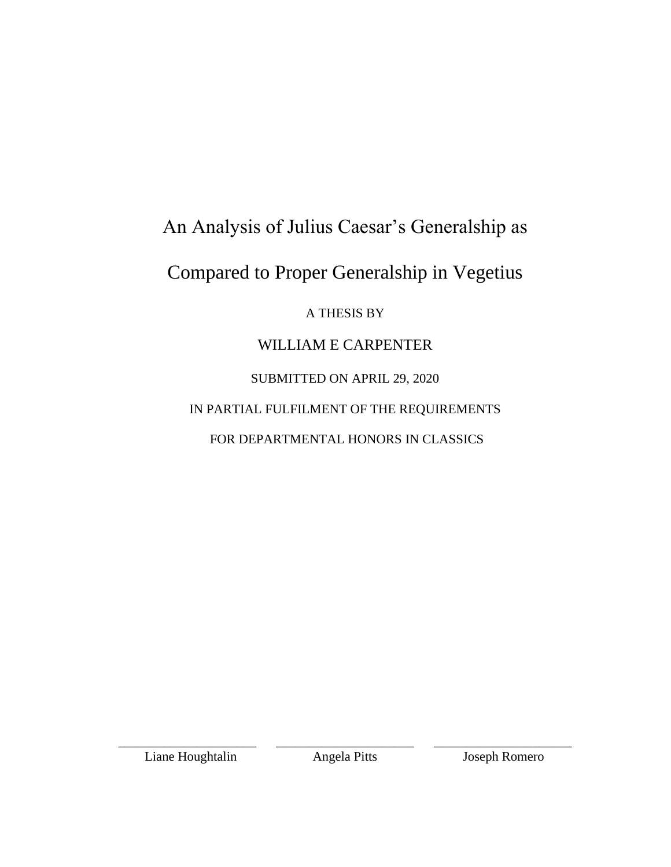# An Analysis of Julius Caesar's Generalship as

# Compared to Proper Generalship in Vegetius

### A THESIS BY

## WILLIAM E CARPENTER

SUBMITTED ON APRIL 29, 2020

IN PARTIAL FULFILMENT OF THE REQUIREMENTS

FOR DEPARTMENTAL HONORS IN CLASSICS

Liane Houghtalin Angela Pitts Joseph Romero

\_\_\_\_\_\_\_\_\_\_\_\_\_\_\_\_\_\_\_\_\_ \_\_\_\_\_\_\_\_\_\_\_\_\_\_\_\_\_\_\_\_\_ \_\_\_\_\_\_\_\_\_\_\_\_\_\_\_\_\_\_\_\_\_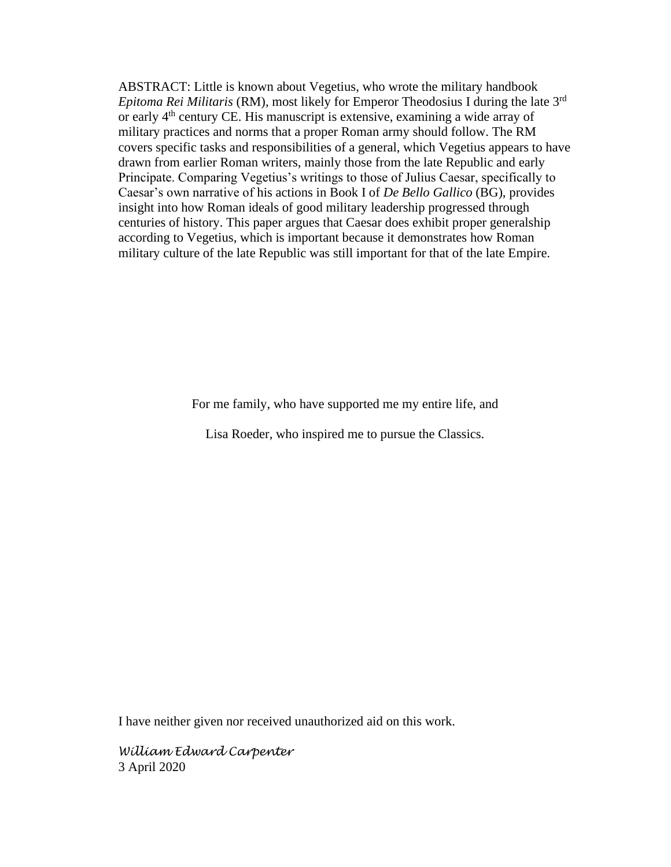ABSTRACT: Little is known about Vegetius, who wrote the military handbook *Epitoma Rei Militaris* (RM), most likely for Emperor Theodosius I during the late 3rd or early 4th century CE. His manuscript is extensive, examining a wide array of military practices and norms that a proper Roman army should follow. The RM covers specific tasks and responsibilities of a general, which Vegetius appears to have drawn from earlier Roman writers, mainly those from the late Republic and early Principate. Comparing Vegetius's writings to those of Julius Caesar, specifically to Caesar's own narrative of his actions in Book I of *De Bello Gallico* (BG), provides insight into how Roman ideals of good military leadership progressed through centuries of history. This paper argues that Caesar does exhibit proper generalship according to Vegetius, which is important because it demonstrates how Roman military culture of the late Republic was still important for that of the late Empire.

For me family, who have supported me my entire life, and

Lisa Roeder, who inspired me to pursue the Classics.

I have neither given nor received unauthorized aid on this work.

*William Edward Carpenter* 3 April 2020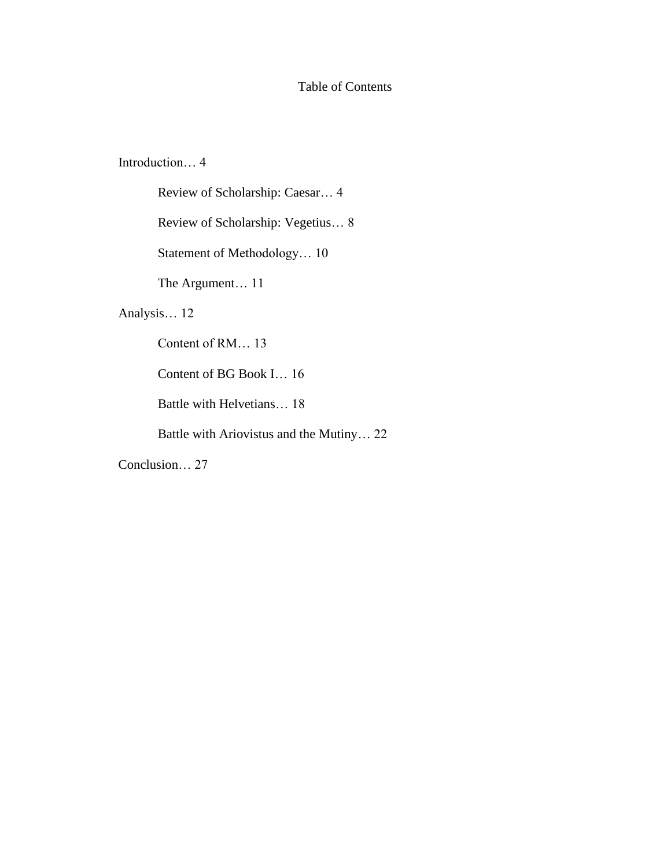#### Table of Contents

Introduction… 4

Review of Scholarship: Caesar… 4

Review of Scholarship: Vegetius… 8

Statement of Methodology… 10

The Argument… 11

#### Analysis… 12

Content of RM… 13

Content of BG Book I… 16

Battle with Helvetians… 18

Battle with Ariovistus and the Mutiny… 22

Conclusion… 27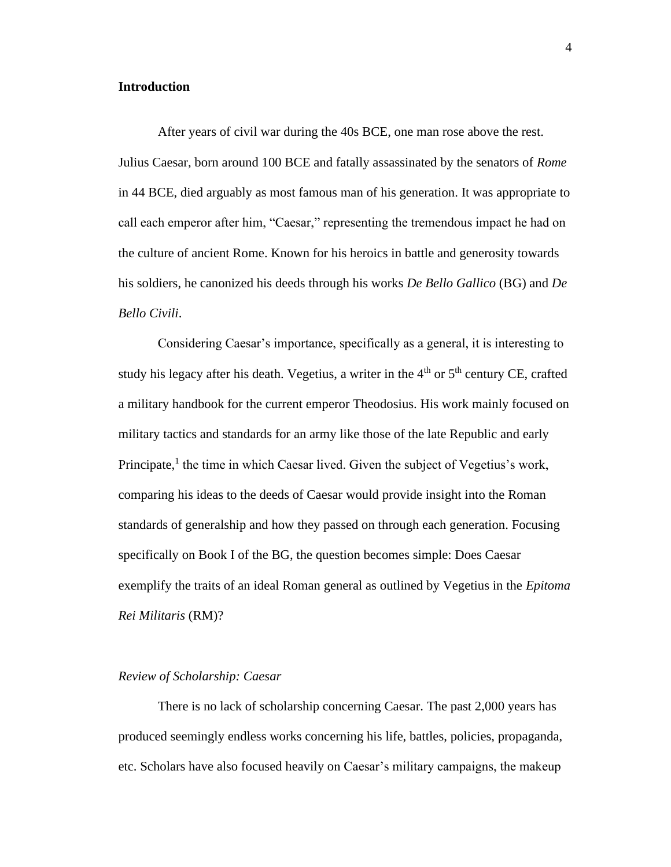#### **Introduction**

After years of civil war during the 40s BCE, one man rose above the rest. Julius Caesar, born around 100 BCE and fatally assassinated by the senators of *Rome* in 44 BCE, died arguably as most famous man of his generation. It was appropriate to call each emperor after him, "Caesar," representing the tremendous impact he had on the culture of ancient Rome. Known for his heroics in battle and generosity towards his soldiers, he canonized his deeds through his works *De Bello Gallico* (BG) and *De Bello Civili*.

Considering Caesar's importance, specifically as a general, it is interesting to study his legacy after his death. Vegetius, a writer in the  $4<sup>th</sup>$  or  $5<sup>th</sup>$  century CE, crafted a military handbook for the current emperor Theodosius. His work mainly focused on military tactics and standards for an army like those of the late Republic and early Principate, $<sup>1</sup>$  the time in which Caesar lived. Given the subject of Vegetius's work,</sup> comparing his ideas to the deeds of Caesar would provide insight into the Roman standards of generalship and how they passed on through each generation. Focusing specifically on Book I of the BG, the question becomes simple: Does Caesar exemplify the traits of an ideal Roman general as outlined by Vegetius in the *Epitoma Rei Militaris* (RM)?

#### *Review of Scholarship: Caesar*

There is no lack of scholarship concerning Caesar. The past 2,000 years has produced seemingly endless works concerning his life, battles, policies, propaganda, etc. Scholars have also focused heavily on Caesar's military campaigns, the makeup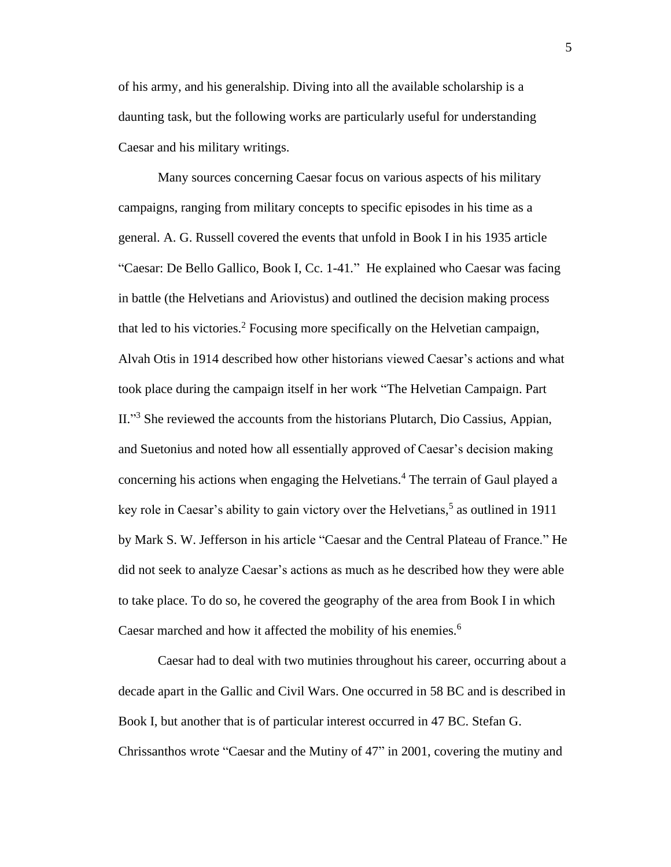of his army, and his generalship. Diving into all the available scholarship is a daunting task, but the following works are particularly useful for understanding Caesar and his military writings.

Many sources concerning Caesar focus on various aspects of his military campaigns, ranging from military concepts to specific episodes in his time as a general. A. G. Russell covered the events that unfold in Book I in his 1935 article "Caesar: De Bello Gallico, Book I, Cc. 1-41*.*"He explained who Caesar was facing in battle (the Helvetians and Ariovistus) and outlined the decision making process that led to his victories.<sup>2</sup> Focusing more specifically on the Helvetian campaign, Alvah Otis in 1914 described how other historians viewed Caesar's actions and what took place during the campaign itself in her work "The Helvetian Campaign. Part II."<sup>3</sup> She reviewed the accounts from the historians Plutarch, Dio Cassius, Appian, and Suetonius and noted how all essentially approved of Caesar's decision making concerning his actions when engaging the Helvetians.<sup>4</sup> The terrain of Gaul played a key role in Caesar's ability to gain victory over the Helvetians, 5 as outlined in 1911 by Mark S. W. Jefferson in his article "Caesar and the Central Plateau of France." He did not seek to analyze Caesar's actions as much as he described how they were able to take place. To do so, he covered the geography of the area from Book I in which Caesar marched and how it affected the mobility of his enemies.<sup>6</sup>

Caesar had to deal with two mutinies throughout his career, occurring about a decade apart in the Gallic and Civil Wars. One occurred in 58 BC and is described in Book I, but another that is of particular interest occurred in 47 BC. Stefan G. Chrissanthos wrote "Caesar and the Mutiny of 47" in 2001, covering the mutiny and

5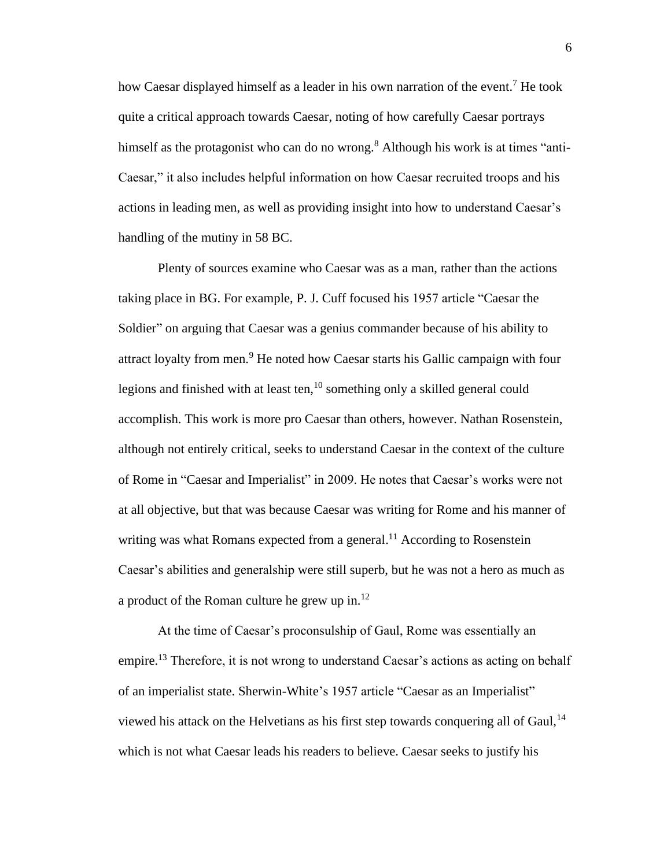how Caesar displayed himself as a leader in his own narration of the event.<sup>7</sup> He took quite a critical approach towards Caesar, noting of how carefully Caesar portrays himself as the protagonist who can do no wrong.<sup>8</sup> Although his work is at times "anti-Caesar," it also includes helpful information on how Caesar recruited troops and his actions in leading men, as well as providing insight into how to understand Caesar's handling of the mutiny in 58 BC.

Plenty of sources examine who Caesar was as a man, rather than the actions taking place in BG. For example, P. J. Cuff focused his 1957 article "Caesar the Soldier" on arguing that Caesar was a genius commander because of his ability to attract loyalty from men.<sup>9</sup> He noted how Caesar starts his Gallic campaign with four legions and finished with at least ten,<sup>10</sup> something only a skilled general could accomplish. This work is more pro Caesar than others, however. Nathan Rosenstein, although not entirely critical, seeks to understand Caesar in the context of the culture of Rome in "Caesar and Imperialist" in 2009. He notes that Caesar's works were not at all objective, but that was because Caesar was writing for Rome and his manner of writing was what Romans expected from a general.<sup>11</sup> According to Rosenstein Caesar's abilities and generalship were still superb, but he was not a hero as much as a product of the Roman culture he grew up in. $^{12}$ 

At the time of Caesar's proconsulship of Gaul, Rome was essentially an empire.<sup>13</sup> Therefore, it is not wrong to understand Caesar's actions as acting on behalf of an imperialist state. Sherwin-White's 1957 article "Caesar as an Imperialist" viewed his attack on the Helvetians as his first step towards conquering all of Gaul,  $^{14}$ which is not what Caesar leads his readers to believe. Caesar seeks to justify his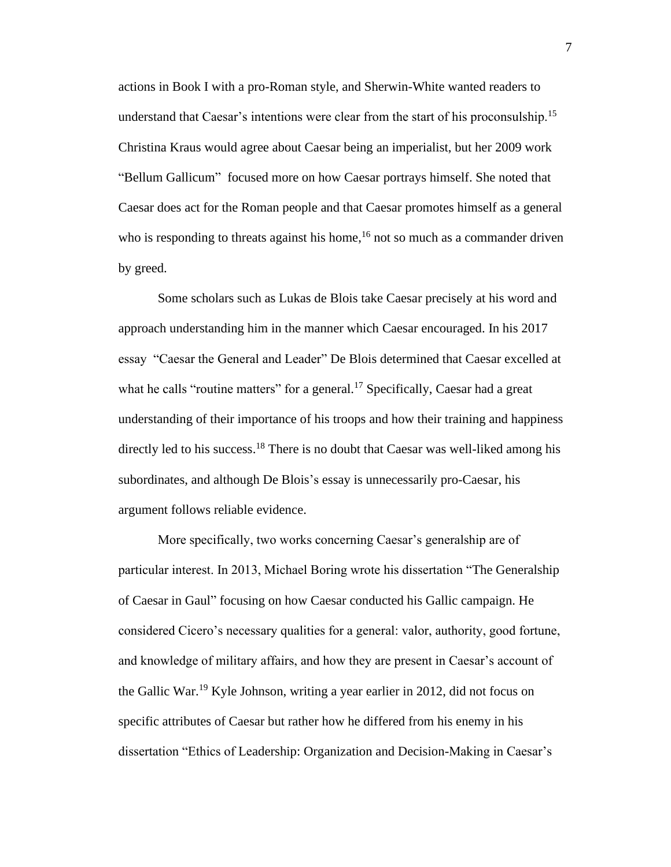actions in Book I with a pro-Roman style, and Sherwin-White wanted readers to understand that Caesar's intentions were clear from the start of his proconsulship.<sup>15</sup> Christina Kraus would agree about Caesar being an imperialist, but her 2009 work "Bellum Gallicum" focused more on how Caesar portrays himself. She noted that Caesar does act for the Roman people and that Caesar promotes himself as a general who is responding to threats against his home,<sup>16</sup> not so much as a commander driven by greed.

Some scholars such as Lukas de Blois take Caesar precisely at his word and approach understanding him in the manner which Caesar encouraged. In his 2017 essay "Caesar the General and Leader" De Blois determined that Caesar excelled at what he calls "routine matters" for a general.<sup>17</sup> Specifically, Caesar had a great understanding of their importance of his troops and how their training and happiness directly led to his success.<sup>18</sup> There is no doubt that Caesar was well-liked among his subordinates, and although De Blois's essay is unnecessarily pro-Caesar, his argument follows reliable evidence.

More specifically, two works concerning Caesar's generalship are of particular interest. In 2013, Michael Boring wrote his dissertation "The Generalship of Caesar in Gaul" focusing on how Caesar conducted his Gallic campaign. He considered Cicero's necessary qualities for a general: valor, authority, good fortune, and knowledge of military affairs, and how they are present in Caesar's account of the Gallic War.<sup>19</sup> Kyle Johnson, writing a year earlier in 2012, did not focus on specific attributes of Caesar but rather how he differed from his enemy in his dissertation "Ethics of Leadership: Organization and Decision-Making in Caesar's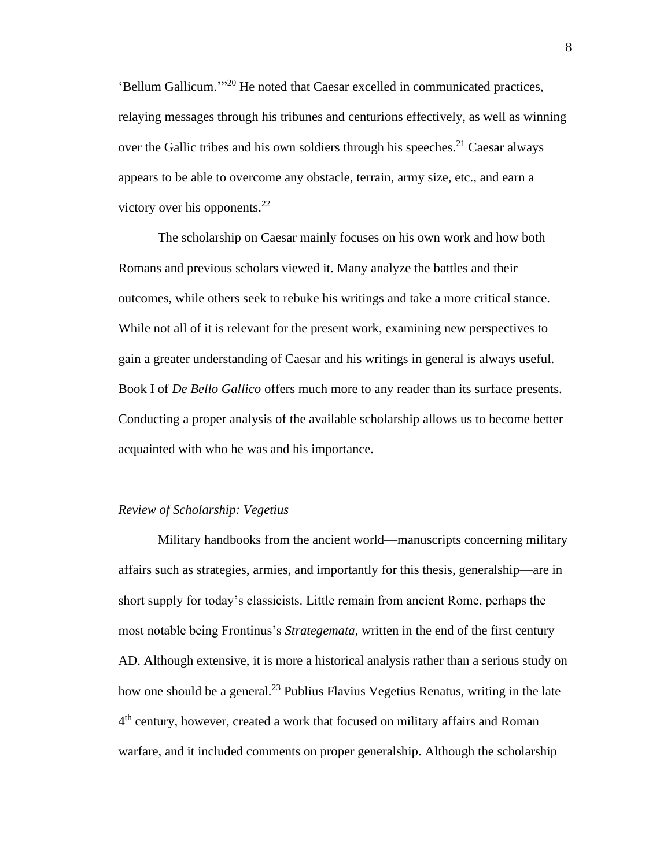'Bellum Gallicum.'" <sup>20</sup> He noted that Caesar excelled in communicated practices, relaying messages through his tribunes and centurions effectively, as well as winning over the Gallic tribes and his own soldiers through his speeches.<sup>21</sup> Caesar always appears to be able to overcome any obstacle, terrain, army size, etc., and earn a victory over his opponents.<sup>22</sup>

The scholarship on Caesar mainly focuses on his own work and how both Romans and previous scholars viewed it. Many analyze the battles and their outcomes, while others seek to rebuke his writings and take a more critical stance. While not all of it is relevant for the present work, examining new perspectives to gain a greater understanding of Caesar and his writings in general is always useful. Book I of *De Bello Gallico* offers much more to any reader than its surface presents. Conducting a proper analysis of the available scholarship allows us to become better acquainted with who he was and his importance.

#### *Review of Scholarship: Vegetius*

Military handbooks from the ancient world—manuscripts concerning military affairs such as strategies, armies, and importantly for this thesis, generalship—are in short supply for today's classicists. Little remain from ancient Rome, perhaps the most notable being Frontinus's *Strategemata*, written in the end of the first century AD. Although extensive, it is more a historical analysis rather than a serious study on how one should be a general.<sup>23</sup> Publius Flavius Vegetius Renatus, writing in the late 4<sup>th</sup> century, however, created a work that focused on military affairs and Roman warfare, and it included comments on proper generalship. Although the scholarship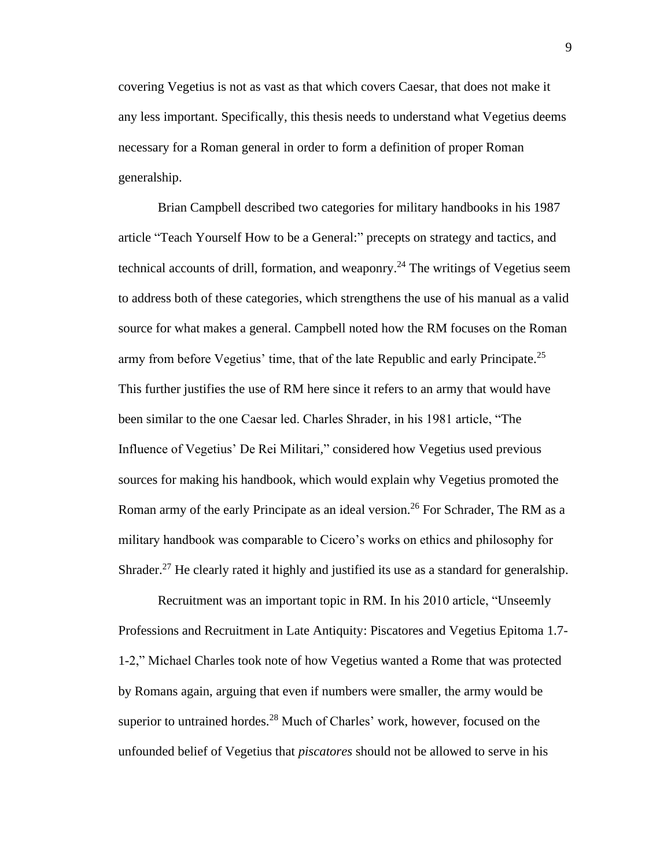covering Vegetius is not as vast as that which covers Caesar, that does not make it any less important. Specifically, this thesis needs to understand what Vegetius deems necessary for a Roman general in order to form a definition of proper Roman generalship.

Brian Campbell described two categories for military handbooks in his 1987 article "Teach Yourself How to be a General:" precepts on strategy and tactics, and technical accounts of drill, formation, and weaponry. <sup>24</sup> The writings of Vegetius seem to address both of these categories, which strengthens the use of his manual as a valid source for what makes a general. Campbell noted how the RM focuses on the Roman army from before Vegetius' time, that of the late Republic and early Principate.<sup>25</sup> This further justifies the use of RM here since it refers to an army that would have been similar to the one Caesar led. Charles Shrader, in his 1981 article, "The Influence of Vegetius' De Rei Militari*,*" considered how Vegetius used previous sources for making his handbook, which would explain why Vegetius promoted the Roman army of the early Principate as an ideal version.<sup>26</sup> For Schrader, The RM as a military handbook was comparable to Cicero's works on ethics and philosophy for Shrader.<sup>27</sup> He clearly rated it highly and justified its use as a standard for generalship.

Recruitment was an important topic in RM. In his 2010 article, "Unseemly Professions and Recruitment in Late Antiquity: Piscatores and Vegetius Epitoma 1.7- 1-2," Michael Charles took note of how Vegetius wanted a Rome that was protected by Romans again, arguing that even if numbers were smaller, the army would be superior to untrained hordes.<sup>28</sup> Much of Charles' work, however, focused on the unfounded belief of Vegetius that *piscatores* should not be allowed to serve in his

9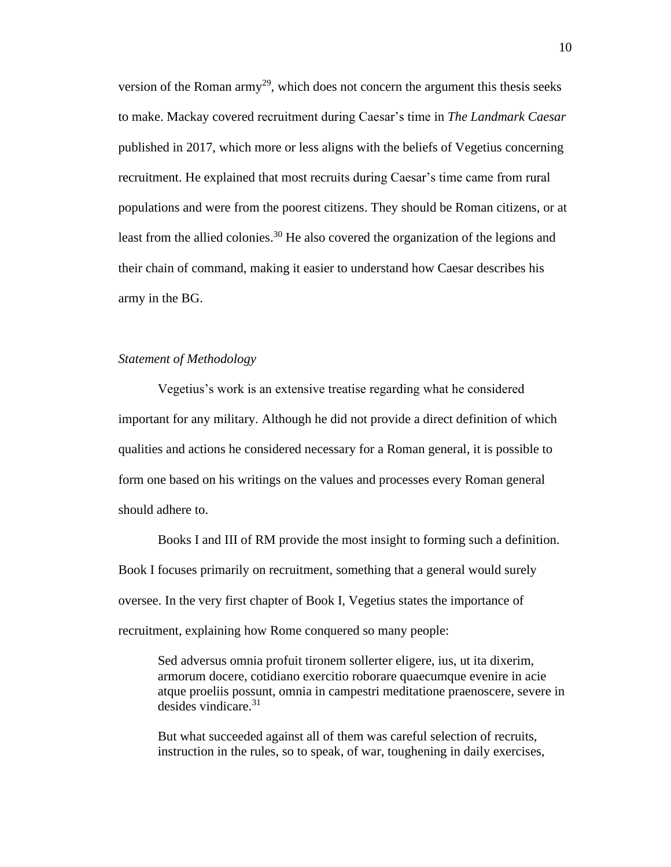version of the Roman army<sup>29</sup>, which does not concern the argument this thesis seeks to make. Mackay covered recruitment during Caesar's time in *The Landmark Caesar* published in 2017, which more or less aligns with the beliefs of Vegetius concerning recruitment. He explained that most recruits during Caesar's time came from rural populations and were from the poorest citizens. They should be Roman citizens, or at least from the allied colonies.<sup>30</sup> He also covered the organization of the legions and their chain of command, making it easier to understand how Caesar describes his army in the BG.

#### *Statement of Methodology*

Vegetius's work is an extensive treatise regarding what he considered important for any military. Although he did not provide a direct definition of which qualities and actions he considered necessary for a Roman general, it is possible to form one based on his writings on the values and processes every Roman general should adhere to.

Books I and III of RM provide the most insight to forming such a definition. Book I focuses primarily on recruitment, something that a general would surely oversee. In the very first chapter of Book I, Vegetius states the importance of recruitment, explaining how Rome conquered so many people:

Sed adversus omnia profuit tironem sollerter eligere, ius, ut ita dixerim, armorum docere, cotidiano exercitio roborare quaecumque evenire in acie atque proeliis possunt, omnia in campestri meditatione praenoscere, severe in desides vindicare.<sup>31</sup>

But what succeeded against all of them was careful selection of recruits, instruction in the rules, so to speak, of war, toughening in daily exercises,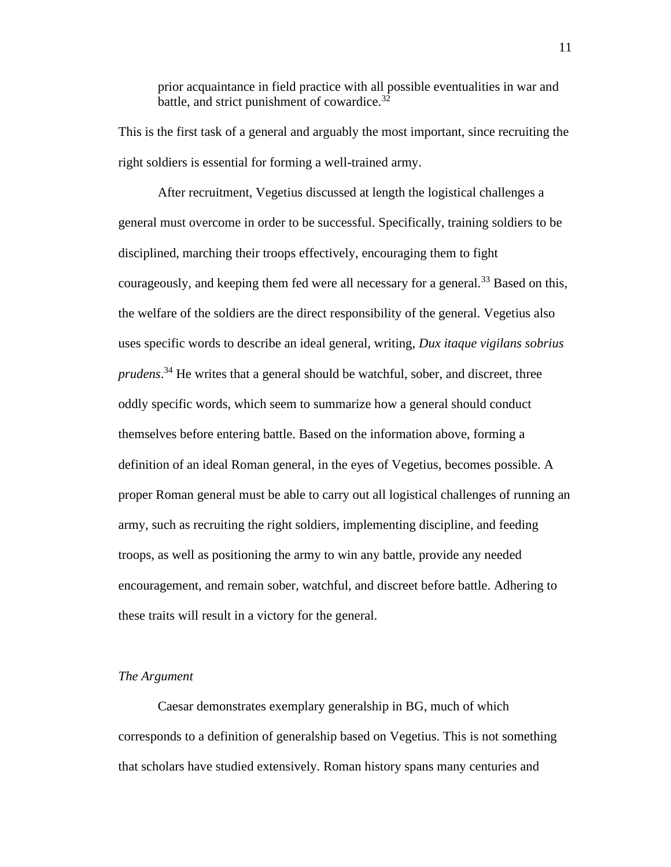prior acquaintance in field practice with all possible eventualities in war and battle, and strict punishment of cowardice.  $3\overline{2}$ 

This is the first task of a general and arguably the most important, since recruiting the right soldiers is essential for forming a well-trained army.

After recruitment, Vegetius discussed at length the logistical challenges a general must overcome in order to be successful. Specifically, training soldiers to be disciplined, marching their troops effectively, encouraging them to fight courageously, and keeping them fed were all necessary for a general.<sup>33</sup> Based on this, the welfare of the soldiers are the direct responsibility of the general. Vegetius also uses specific words to describe an ideal general, writing, *Dux itaque vigilans sobrius prudens*. <sup>34</sup> He writes that a general should be watchful, sober, and discreet, three oddly specific words, which seem to summarize how a general should conduct themselves before entering battle. Based on the information above, forming a definition of an ideal Roman general, in the eyes of Vegetius, becomes possible. A proper Roman general must be able to carry out all logistical challenges of running an army, such as recruiting the right soldiers, implementing discipline, and feeding troops, as well as positioning the army to win any battle, provide any needed encouragement, and remain sober, watchful, and discreet before battle. Adhering to these traits will result in a victory for the general.

#### *The Argument*

Caesar demonstrates exemplary generalship in BG, much of which corresponds to a definition of generalship based on Vegetius. This is not something that scholars have studied extensively. Roman history spans many centuries and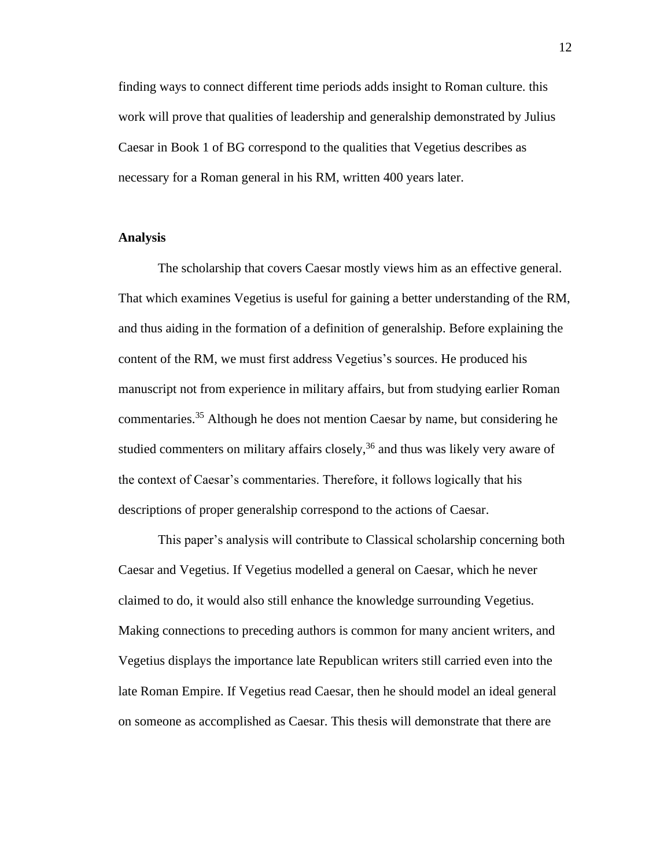finding ways to connect different time periods adds insight to Roman culture. this work will prove that qualities of leadership and generalship demonstrated by Julius Caesar in Book 1 of BG correspond to the qualities that Vegetius describes as necessary for a Roman general in his RM, written 400 years later.

#### **Analysis**

The scholarship that covers Caesar mostly views him as an effective general. That which examines Vegetius is useful for gaining a better understanding of the RM, and thus aiding in the formation of a definition of generalship. Before explaining the content of the RM, we must first address Vegetius's sources. He produced his manuscript not from experience in military affairs, but from studying earlier Roman commentaries.<sup>35</sup> Although he does not mention Caesar by name, but considering he studied commenters on military affairs closely,<sup>36</sup> and thus was likely very aware of the context of Caesar's commentaries. Therefore, it follows logically that his descriptions of proper generalship correspond to the actions of Caesar.

This paper's analysis will contribute to Classical scholarship concerning both Caesar and Vegetius. If Vegetius modelled a general on Caesar, which he never claimed to do, it would also still enhance the knowledge surrounding Vegetius. Making connections to preceding authors is common for many ancient writers, and Vegetius displays the importance late Republican writers still carried even into the late Roman Empire. If Vegetius read Caesar, then he should model an ideal general on someone as accomplished as Caesar. This thesis will demonstrate that there are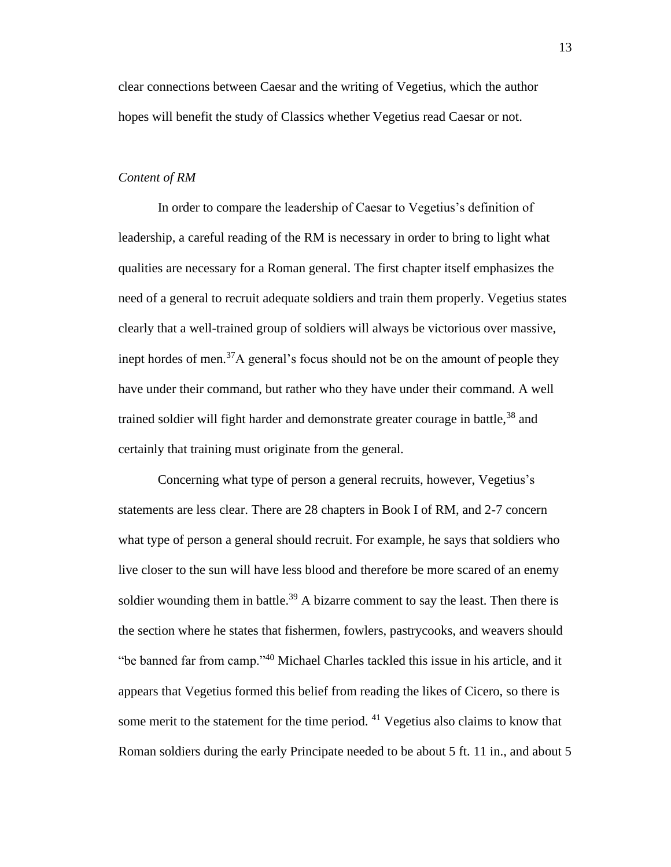clear connections between Caesar and the writing of Vegetius, which the author hopes will benefit the study of Classics whether Vegetius read Caesar or not.

#### *Content of RM*

In order to compare the leadership of Caesar to Vegetius's definition of leadership, a careful reading of the RM is necessary in order to bring to light what qualities are necessary for a Roman general. The first chapter itself emphasizes the need of a general to recruit adequate soldiers and train them properly. Vegetius states clearly that a well-trained group of soldiers will always be victorious over massive, inept hordes of men.<sup>37</sup>A general's focus should not be on the amount of people they have under their command, but rather who they have under their command. A well trained soldier will fight harder and demonstrate greater courage in battle,  $38$  and certainly that training must originate from the general.

Concerning what type of person a general recruits, however, Vegetius's statements are less clear. There are 28 chapters in Book I of RM, and 2-7 concern what type of person a general should recruit. For example, he says that soldiers who live closer to the sun will have less blood and therefore be more scared of an enemy soldier wounding them in battle.<sup>39</sup> A bizarre comment to say the least. Then there is the section where he states that fishermen, fowlers, pastrycooks, and weavers should "be banned far from camp."<sup>40</sup> Michael Charles tackled this issue in his article, and it appears that Vegetius formed this belief from reading the likes of Cicero, so there is some merit to the statement for the time period.  $41$  Vegetius also claims to know that Roman soldiers during the early Principate needed to be about 5 ft. 11 in., and about 5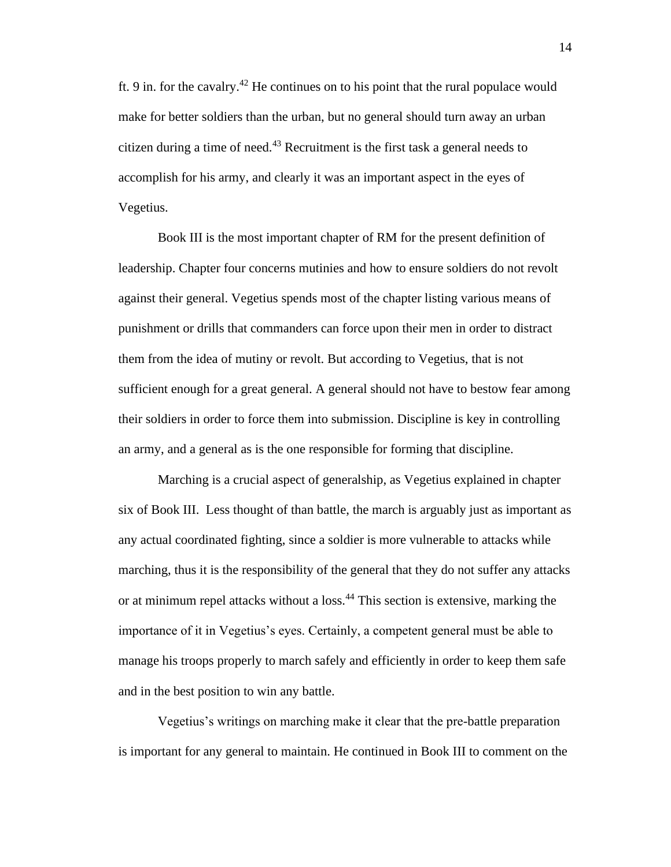ft. 9 in. for the cavalry.<sup>42</sup> He continues on to his point that the rural populace would make for better soldiers than the urban, but no general should turn away an urban citizen during a time of need.<sup>43</sup> Recruitment is the first task a general needs to accomplish for his army, and clearly it was an important aspect in the eyes of Vegetius.

Book III is the most important chapter of RM for the present definition of leadership. Chapter four concerns mutinies and how to ensure soldiers do not revolt against their general. Vegetius spends most of the chapter listing various means of punishment or drills that commanders can force upon their men in order to distract them from the idea of mutiny or revolt. But according to Vegetius, that is not sufficient enough for a great general. A general should not have to bestow fear among their soldiers in order to force them into submission. Discipline is key in controlling an army, and a general as is the one responsible for forming that discipline.

Marching is a crucial aspect of generalship, as Vegetius explained in chapter six of Book III. Less thought of than battle, the march is arguably just as important as any actual coordinated fighting, since a soldier is more vulnerable to attacks while marching, thus it is the responsibility of the general that they do not suffer any attacks or at minimum repel attacks without a loss.<sup>44</sup> This section is extensive, marking the importance of it in Vegetius's eyes. Certainly, a competent general must be able to manage his troops properly to march safely and efficiently in order to keep them safe and in the best position to win any battle.

Vegetius's writings on marching make it clear that the pre-battle preparation is important for any general to maintain. He continued in Book III to comment on the

14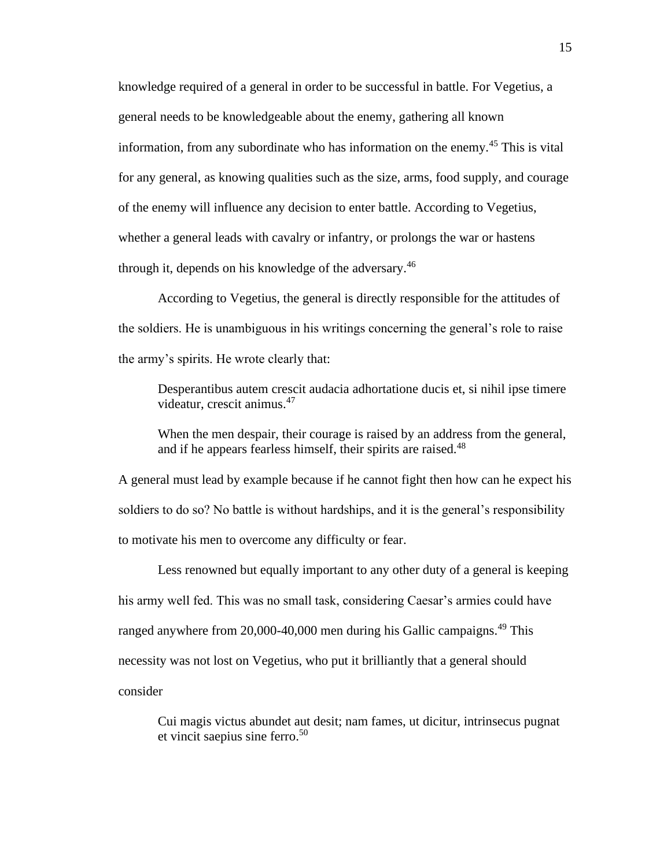knowledge required of a general in order to be successful in battle. For Vegetius, a general needs to be knowledgeable about the enemy, gathering all known information, from any subordinate who has information on the enemy.<sup>45</sup> This is vital for any general, as knowing qualities such as the size, arms, food supply, and courage of the enemy will influence any decision to enter battle. According to Vegetius, whether a general leads with cavalry or infantry, or prolongs the war or hastens through it, depends on his knowledge of the adversary.<sup>46</sup>

According to Vegetius, the general is directly responsible for the attitudes of the soldiers. He is unambiguous in his writings concerning the general's role to raise the army's spirits. He wrote clearly that:

Desperantibus autem crescit audacia adhortatione ducis et, si nihil ipse timere videatur, crescit animus.<sup>47</sup>

When the men despair, their courage is raised by an address from the general, and if he appears fearless himself, their spirits are raised.<sup>48</sup>

A general must lead by example because if he cannot fight then how can he expect his soldiers to do so? No battle is without hardships, and it is the general's responsibility to motivate his men to overcome any difficulty or fear.

Less renowned but equally important to any other duty of a general is keeping his army well fed. This was no small task, considering Caesar's armies could have ranged anywhere from 20,000-40,000 men during his Gallic campaigns.<sup>49</sup> This necessity was not lost on Vegetius, who put it brilliantly that a general should consider

Cui magis victus abundet aut desit; nam fames, ut dicitur, intrinsecus pugnat et vincit saepius sine ferro.<sup>50</sup>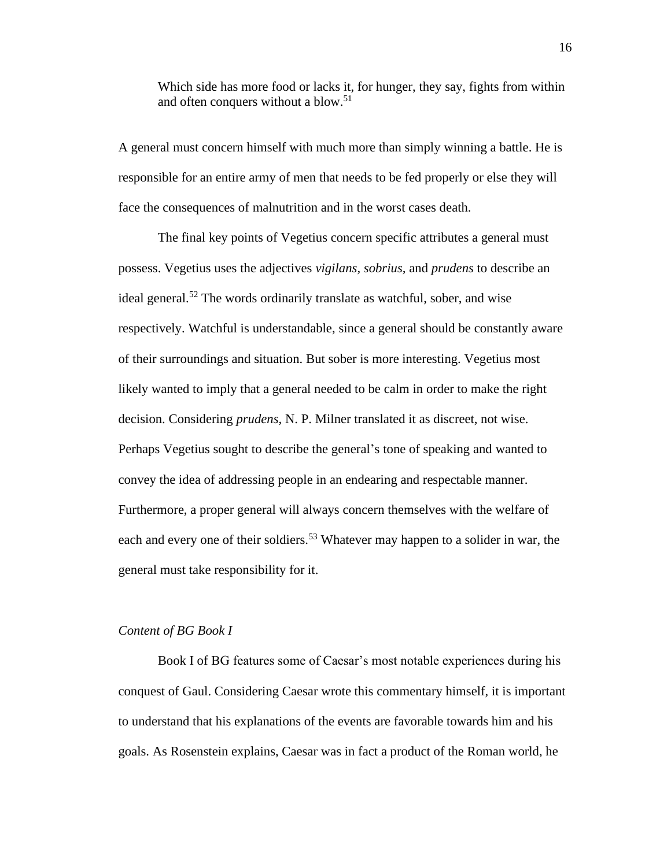Which side has more food or lacks it, for hunger, they say, fights from within and often conquers without a blow.<sup>51</sup>

A general must concern himself with much more than simply winning a battle. He is responsible for an entire army of men that needs to be fed properly or else they will face the consequences of malnutrition and in the worst cases death.

The final key points of Vegetius concern specific attributes a general must possess. Vegetius uses the adjectives *vigilans, sobrius,* and *prudens* to describe an ideal general.<sup>52</sup> The words ordinarily translate as watchful, sober, and wise respectively. Watchful is understandable, since a general should be constantly aware of their surroundings and situation. But sober is more interesting. Vegetius most likely wanted to imply that a general needed to be calm in order to make the right decision. Considering *prudens,* N. P. Milner translated it as discreet, not wise. Perhaps Vegetius sought to describe the general's tone of speaking and wanted to convey the idea of addressing people in an endearing and respectable manner. Furthermore, a proper general will always concern themselves with the welfare of each and every one of their soldiers.<sup>53</sup> Whatever may happen to a solider in war, the general must take responsibility for it.

#### *Content of BG Book I*

Book I of BG features some of Caesar's most notable experiences during his conquest of Gaul. Considering Caesar wrote this commentary himself, it is important to understand that his explanations of the events are favorable towards him and his goals. As Rosenstein explains, Caesar was in fact a product of the Roman world, he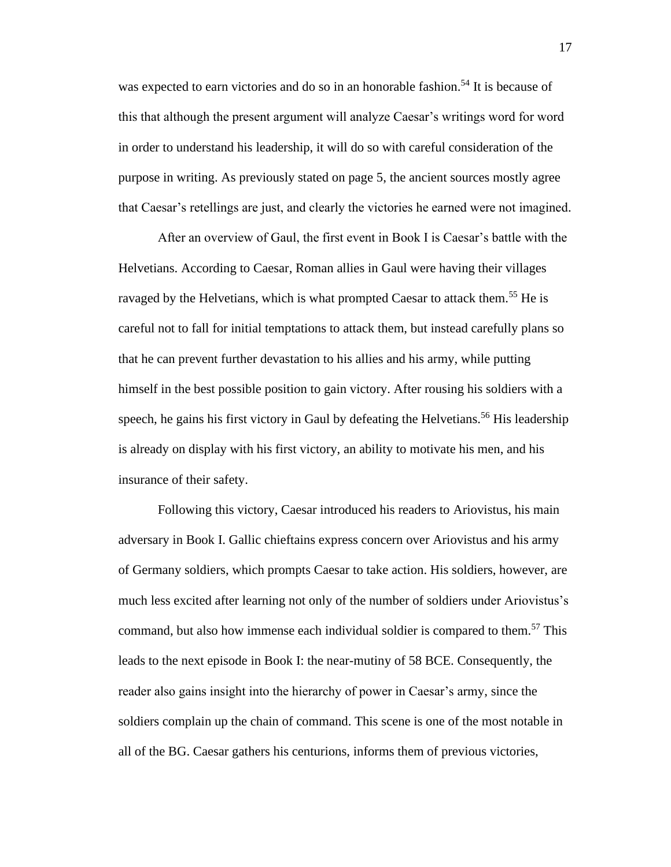was expected to earn victories and do so in an honorable fashion.<sup>54</sup> It is because of this that although the present argument will analyze Caesar's writings word for word in order to understand his leadership, it will do so with careful consideration of the purpose in writing. As previously stated on page 5, the ancient sources mostly agree that Caesar's retellings are just, and clearly the victories he earned were not imagined.

After an overview of Gaul, the first event in Book I is Caesar's battle with the Helvetians. According to Caesar, Roman allies in Gaul were having their villages ravaged by the Helvetians, which is what prompted Caesar to attack them.<sup>55</sup> He is careful not to fall for initial temptations to attack them, but instead carefully plans so that he can prevent further devastation to his allies and his army, while putting himself in the best possible position to gain victory. After rousing his soldiers with a speech, he gains his first victory in Gaul by defeating the Helvetians.<sup>56</sup> His leadership is already on display with his first victory, an ability to motivate his men, and his insurance of their safety.

Following this victory, Caesar introduced his readers to Ariovistus, his main adversary in Book I. Gallic chieftains express concern over Ariovistus and his army of Germany soldiers, which prompts Caesar to take action. His soldiers, however, are much less excited after learning not only of the number of soldiers under Ariovistus's command, but also how immense each individual soldier is compared to them.<sup>57</sup> This leads to the next episode in Book I: the near-mutiny of 58 BCE. Consequently, the reader also gains insight into the hierarchy of power in Caesar's army, since the soldiers complain up the chain of command. This scene is one of the most notable in all of the BG. Caesar gathers his centurions, informs them of previous victories,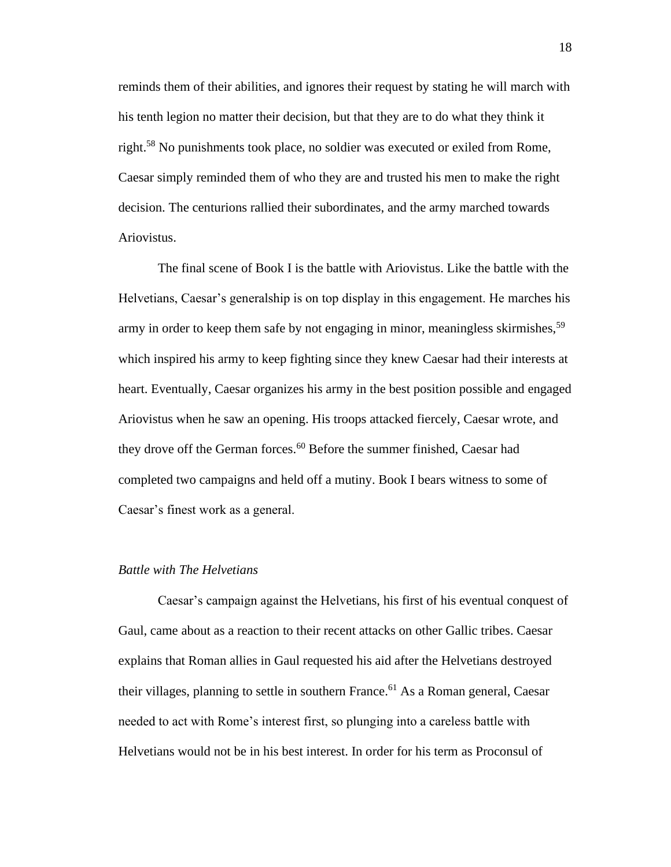reminds them of their abilities, and ignores their request by stating he will march with his tenth legion no matter their decision, but that they are to do what they think it right.<sup>58</sup> No punishments took place, no soldier was executed or exiled from Rome, Caesar simply reminded them of who they are and trusted his men to make the right decision. The centurions rallied their subordinates, and the army marched towards Ariovistus.

The final scene of Book I is the battle with Ariovistus. Like the battle with the Helvetians, Caesar's generalship is on top display in this engagement. He marches his army in order to keep them safe by not engaging in minor, meaningless skirmishes,<sup>59</sup> which inspired his army to keep fighting since they knew Caesar had their interests at heart. Eventually, Caesar organizes his army in the best position possible and engaged Ariovistus when he saw an opening. His troops attacked fiercely, Caesar wrote, and they drove off the German forces.<sup>60</sup> Before the summer finished, Caesar had completed two campaigns and held off a mutiny. Book I bears witness to some of Caesar's finest work as a general.

#### *Battle with The Helvetians*

Caesar's campaign against the Helvetians, his first of his eventual conquest of Gaul, came about as a reaction to their recent attacks on other Gallic tribes. Caesar explains that Roman allies in Gaul requested his aid after the Helvetians destroyed their villages, planning to settle in southern France.<sup>61</sup> As a Roman general, Caesar needed to act with Rome's interest first, so plunging into a careless battle with Helvetians would not be in his best interest. In order for his term as Proconsul of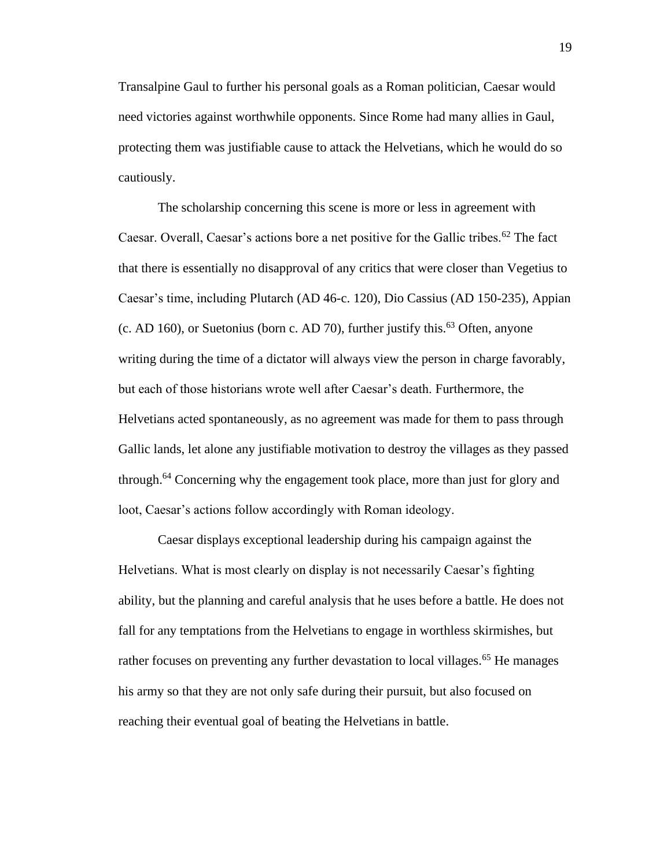Transalpine Gaul to further his personal goals as a Roman politician, Caesar would need victories against worthwhile opponents. Since Rome had many allies in Gaul, protecting them was justifiable cause to attack the Helvetians, which he would do so cautiously.

The scholarship concerning this scene is more or less in agreement with Caesar. Overall, Caesar's actions bore a net positive for the Gallic tribes.<sup>62</sup> The fact that there is essentially no disapproval of any critics that were closer than Vegetius to Caesar's time, including Plutarch (AD 46-c. 120), Dio Cassius (AD 150-235), Appian (c. AD 160), or Suetonius (born c. AD 70), further justify this.<sup>63</sup> Often, anyone writing during the time of a dictator will always view the person in charge favorably, but each of those historians wrote well after Caesar's death. Furthermore, the Helvetians acted spontaneously, as no agreement was made for them to pass through Gallic lands, let alone any justifiable motivation to destroy the villages as they passed through.<sup>64</sup> Concerning why the engagement took place, more than just for glory and loot, Caesar's actions follow accordingly with Roman ideology.

Caesar displays exceptional leadership during his campaign against the Helvetians. What is most clearly on display is not necessarily Caesar's fighting ability, but the planning and careful analysis that he uses before a battle. He does not fall for any temptations from the Helvetians to engage in worthless skirmishes, but rather focuses on preventing any further devastation to local villages.<sup>65</sup> He manages his army so that they are not only safe during their pursuit, but also focused on reaching their eventual goal of beating the Helvetians in battle.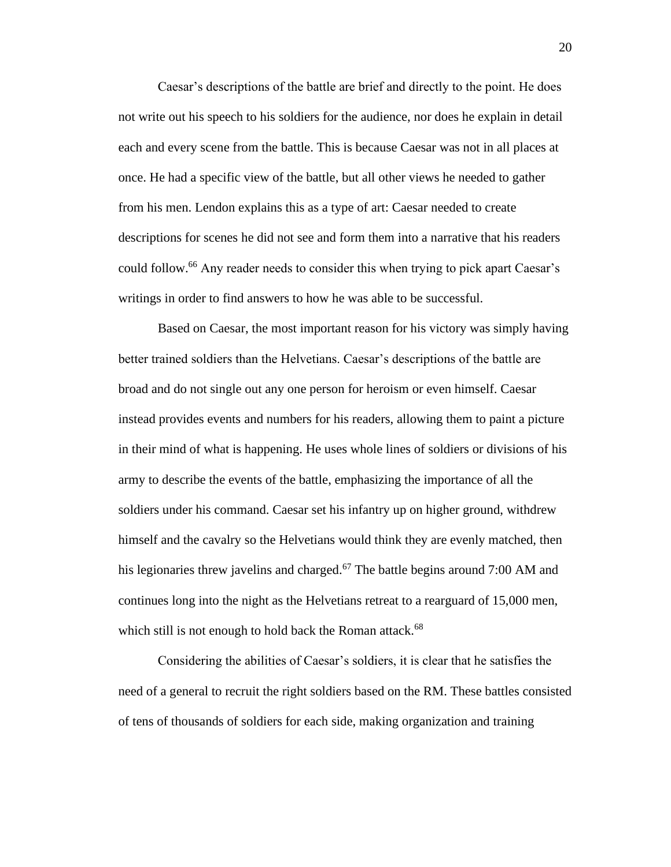Caesar's descriptions of the battle are brief and directly to the point. He does not write out his speech to his soldiers for the audience, nor does he explain in detail each and every scene from the battle. This is because Caesar was not in all places at once. He had a specific view of the battle, but all other views he needed to gather from his men. Lendon explains this as a type of art: Caesar needed to create descriptions for scenes he did not see and form them into a narrative that his readers could follow.<sup>66</sup> Any reader needs to consider this when trying to pick apart Caesar's writings in order to find answers to how he was able to be successful.

Based on Caesar, the most important reason for his victory was simply having better trained soldiers than the Helvetians. Caesar's descriptions of the battle are broad and do not single out any one person for heroism or even himself. Caesar instead provides events and numbers for his readers, allowing them to paint a picture in their mind of what is happening. He uses whole lines of soldiers or divisions of his army to describe the events of the battle, emphasizing the importance of all the soldiers under his command. Caesar set his infantry up on higher ground, withdrew himself and the cavalry so the Helvetians would think they are evenly matched, then his legionaries threw javelins and charged.<sup>67</sup> The battle begins around 7:00 AM and continues long into the night as the Helvetians retreat to a rearguard of 15,000 men, which still is not enough to hold back the Roman attack.<sup>68</sup>

Considering the abilities of Caesar's soldiers, it is clear that he satisfies the need of a general to recruit the right soldiers based on the RM. These battles consisted of tens of thousands of soldiers for each side, making organization and training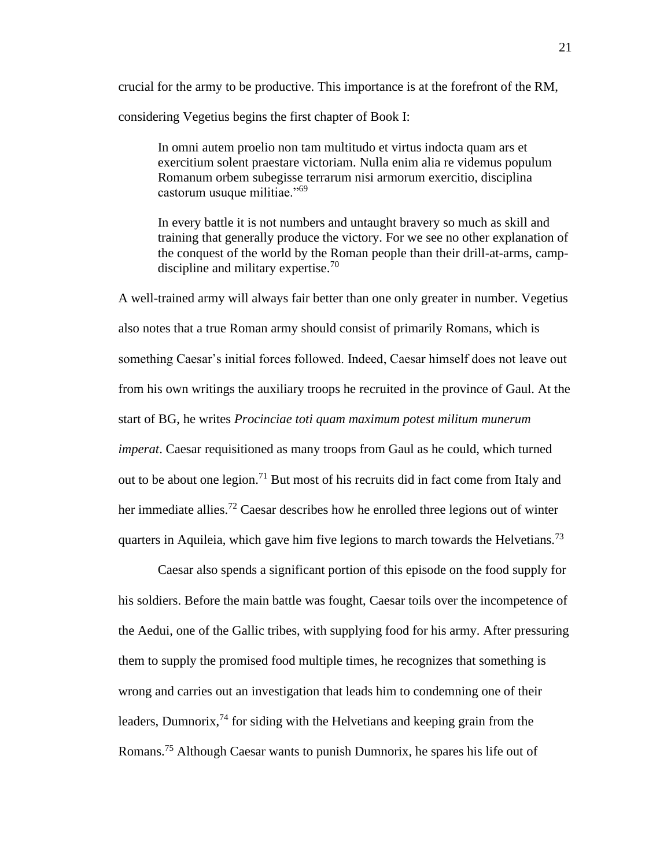crucial for the army to be productive. This importance is at the forefront of the RM, considering Vegetius begins the first chapter of Book I:

In omni autem proelio non tam multitudo et virtus indocta quam ars et exercitium solent praestare victoriam. Nulla enim alia re videmus populum Romanum orbem subegisse terrarum nisi armorum exercitio, disciplina castorum usuque militiae."<sup>69</sup>

In every battle it is not numbers and untaught bravery so much as skill and training that generally produce the victory. For we see no other explanation of the conquest of the world by the Roman people than their drill-at-arms, campdiscipline and military expertise.<sup>70</sup>

A well-trained army will always fair better than one only greater in number. Vegetius also notes that a true Roman army should consist of primarily Romans, which is something Caesar's initial forces followed. Indeed, Caesar himself does not leave out from his own writings the auxiliary troops he recruited in the province of Gaul. At the start of BG, he writes *Procinciae toti quam maximum potest militum munerum imperat*. Caesar requisitioned as many troops from Gaul as he could, which turned out to be about one legion.<sup>71</sup> But most of his recruits did in fact come from Italy and her immediate allies.<sup>72</sup> Caesar describes how he enrolled three legions out of winter quarters in Aquileia, which gave him five legions to march towards the Helvetians.<sup>73</sup>

Caesar also spends a significant portion of this episode on the food supply for his soldiers. Before the main battle was fought, Caesar toils over the incompetence of the Aedui, one of the Gallic tribes, with supplying food for his army. After pressuring them to supply the promised food multiple times, he recognizes that something is wrong and carries out an investigation that leads him to condemning one of their leaders, Dumnorix,  $^{74}$  for siding with the Helvetians and keeping grain from the Romans.<sup>75</sup> Although Caesar wants to punish Dumnorix, he spares his life out of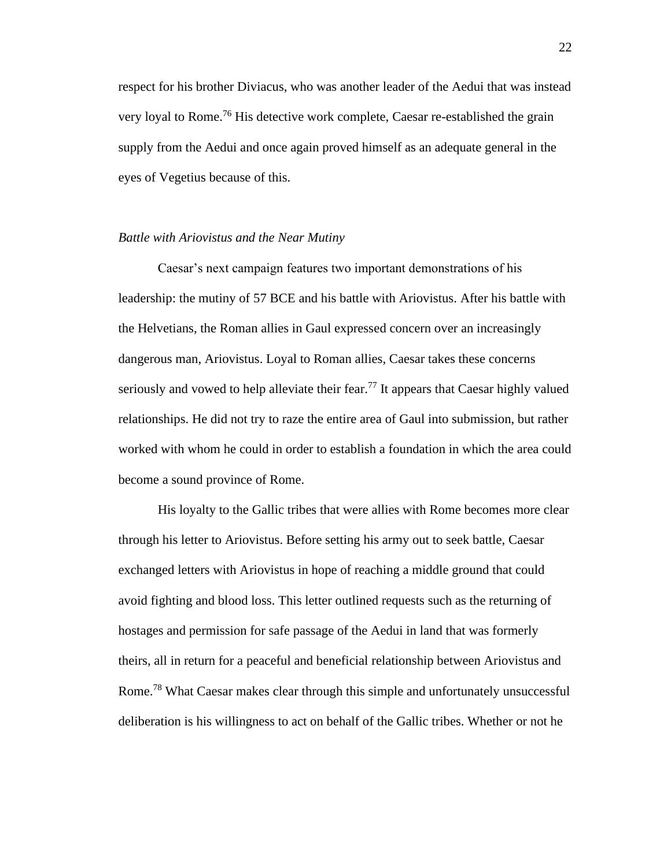respect for his brother Diviacus, who was another leader of the Aedui that was instead very loyal to Rome.<sup>76</sup> His detective work complete, Caesar re-established the grain supply from the Aedui and once again proved himself as an adequate general in the eyes of Vegetius because of this.

#### *Battle with Ariovistus and the Near Mutiny*

Caesar's next campaign features two important demonstrations of his leadership: the mutiny of 57 BCE and his battle with Ariovistus. After his battle with the Helvetians, the Roman allies in Gaul expressed concern over an increasingly dangerous man, Ariovistus. Loyal to Roman allies, Caesar takes these concerns seriously and vowed to help alleviate their fear.<sup>77</sup> It appears that Caesar highly valued relationships. He did not try to raze the entire area of Gaul into submission, but rather worked with whom he could in order to establish a foundation in which the area could become a sound province of Rome.

His loyalty to the Gallic tribes that were allies with Rome becomes more clear through his letter to Ariovistus. Before setting his army out to seek battle, Caesar exchanged letters with Ariovistus in hope of reaching a middle ground that could avoid fighting and blood loss. This letter outlined requests such as the returning of hostages and permission for safe passage of the Aedui in land that was formerly theirs, all in return for a peaceful and beneficial relationship between Ariovistus and Rome.<sup>78</sup> What Caesar makes clear through this simple and unfortunately unsuccessful deliberation is his willingness to act on behalf of the Gallic tribes. Whether or not he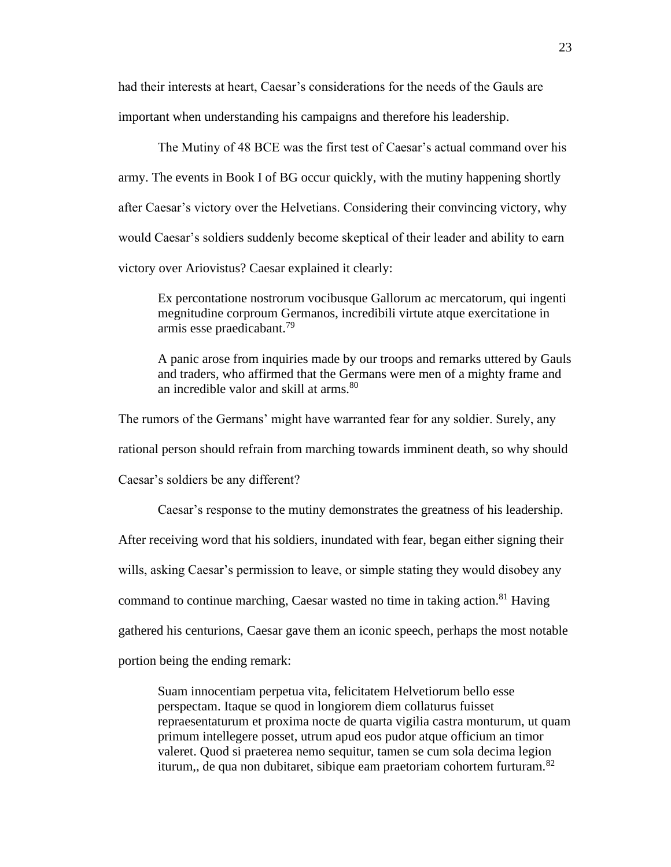had their interests at heart, Caesar's considerations for the needs of the Gauls are important when understanding his campaigns and therefore his leadership.

The Mutiny of 48 BCE was the first test of Caesar's actual command over his army. The events in Book I of BG occur quickly, with the mutiny happening shortly after Caesar's victory over the Helvetians. Considering their convincing victory, why would Caesar's soldiers suddenly become skeptical of their leader and ability to earn victory over Ariovistus? Caesar explained it clearly:

Ex percontatione nostrorum vocibusque Gallorum ac mercatorum, qui ingenti megnitudine corproum Germanos, incredibili virtute atque exercitatione in armis esse praedicabant.<sup>79</sup>

A panic arose from inquiries made by our troops and remarks uttered by Gauls and traders, who affirmed that the Germans were men of a mighty frame and an incredible valor and skill at arms.<sup>80</sup>

The rumors of the Germans' might have warranted fear for any soldier. Surely, any rational person should refrain from marching towards imminent death, so why should Caesar's soldiers be any different?

Caesar's response to the mutiny demonstrates the greatness of his leadership. After receiving word that his soldiers, inundated with fear, began either signing their wills, asking Caesar's permission to leave, or simple stating they would disobey any command to continue marching, Caesar wasted no time in taking action.<sup>81</sup> Having gathered his centurions, Caesar gave them an iconic speech, perhaps the most notable portion being the ending remark:

Suam innocentiam perpetua vita, felicitatem Helvetiorum bello esse perspectam. Itaque se quod in longiorem diem collaturus fuisset repraesentaturum et proxima nocte de quarta vigilia castra monturum, ut quam primum intellegere posset, utrum apud eos pudor atque officium an timor valeret. Quod si praeterea nemo sequitur, tamen se cum sola decima legion iturum,, de qua non dubitaret, sibique eam praetoriam cohortem furturam.<sup>82</sup>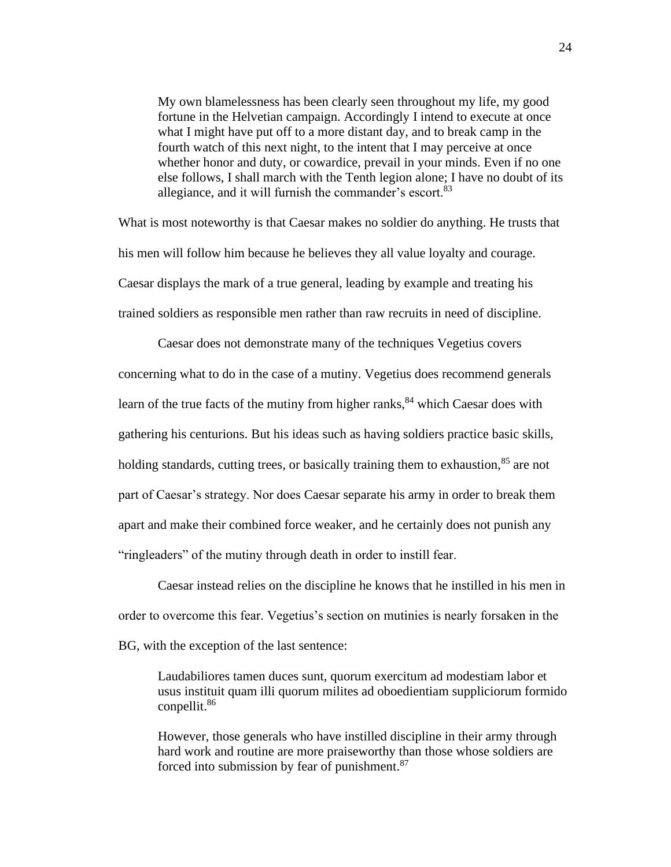My own blamelessness has been clearly seen throughout my life, my good fortune in the Helvetian campaign. Accordingly I intend to execute at once what I might have put off to a more distant day, and to break camp in the fourth watch of this next night, to the intent that I may perceive at once whether honor and duty, or cowardice, prevail in your minds. Even if no one else follows, I shall march with the Tenth legion alone; I have no doubt of its allegiance, and it will furnish the commander's escort.<sup>83</sup>

What is most noteworthy is that Caesar makes no soldier do anything. He trusts that his men will follow him because he believes they all value loyalty and courage. Caesar displays the mark of a true general, leading by example and treating his trained soldiers as responsible men rather than raw recruits in need of discipline.

Caesar does not demonstrate many of the techniques Vegetius covers concerning what to do in the case of a mutiny. Vegetius does recommend generals learn of the true facts of the mutiny from higher ranks,  $84$  which Caesar does with gathering his centurions. But his ideas such as having soldiers practice basic skills, holding standards, cutting trees, or basically training them to exhaustion, $85$  are not part of Caesar's strategy. Nor does Caesar separate his army in order to break them apart and make their combined force weaker, and he certainly does not punish any "ringleaders" of the mutiny through death in order to instill fear.

Caesar instead relies on the discipline he knows that he instilled in his men in order to overcome this fear. Vegetius's section on mutinies is nearly forsaken in the BG, with the exception of the last sentence:

Laudabiliores tamen duces sunt, quorum exercitum ad modestiam labor et usus instituit quam illi quorum milites ad oboedientiam suppliciorum formido conpellit.<sup>86</sup>

However, those generals who have instilled discipline in their army through hard work and routine are more praiseworthy than those whose soldiers are forced into submission by fear of punishment.<sup>87</sup>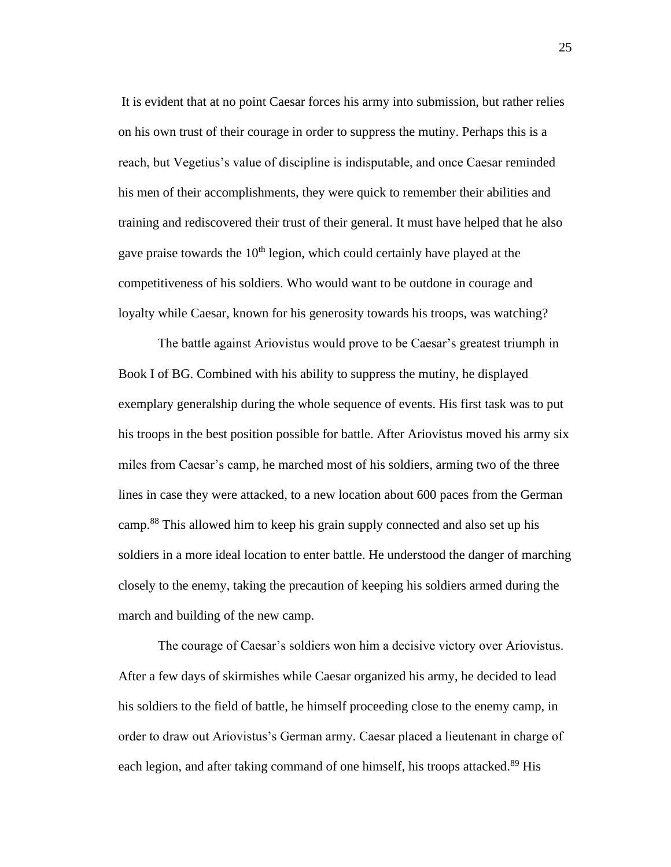It is evident that at no point Caesar forces his army into submission, but rather relies on his own trust of their courage in order to suppress the mutiny. Perhaps this is a reach, but Vegetius's value of discipline is indisputable, and once Caesar reminded his men of their accomplishments, they were quick to remember their abilities and training and rediscovered their trust of their general. It must have helped that he also gave praise towards the  $10<sup>th</sup>$  legion, which could certainly have played at the competitiveness of his soldiers. Who would want to be outdone in courage and loyalty while Caesar, known for his generosity towards his troops, was watching?

The battle against Ariovistus would prove to be Caesar's greatest triumph in Book I of BG. Combined with his ability to suppress the mutiny, he displayed exemplary generalship during the whole sequence of events. His first task was to put his troops in the best position possible for battle. After Ariovistus moved his army six miles from Caesar's camp, he marched most of his soldiers, arming two of the three lines in case they were attacked, to a new location about 600 paces from the German camp.<sup>88</sup> This allowed him to keep his grain supply connected and also set up his soldiers in a more ideal location to enter battle. He understood the danger of marching closely to the enemy, taking the precaution of keeping his soldiers armed during the march and building of the new camp.

The courage of Caesar's soldiers won him a decisive victory over Ariovistus. After a few days of skirmishes while Caesar organized his army, he decided to lead his soldiers to the field of battle, he himself proceeding close to the enemy camp, in order to draw out Ariovistus's German army. Caesar placed a lieutenant in charge of each legion, and after taking command of one himself, his troops attacked.<sup>89</sup> His

25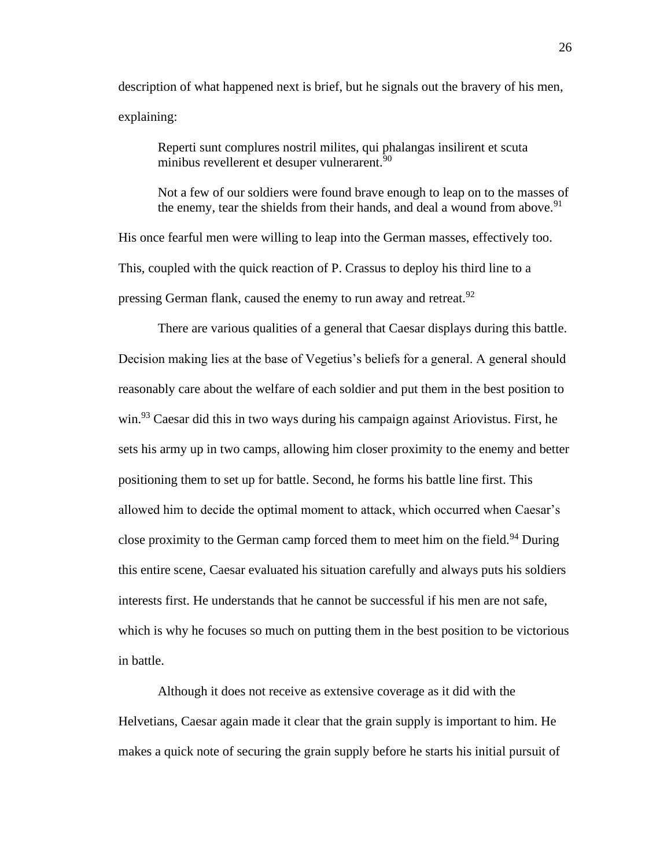description of what happened next is brief, but he signals out the bravery of his men, explaining:

Reperti sunt complures nostril milites, qui phalangas insilirent et scuta minibus revellerent et desuper vulnerarent.<sup>90</sup>

Not a few of our soldiers were found brave enough to leap on to the masses of the enemy, tear the shields from their hands, and deal a wound from above.<sup>91</sup>

His once fearful men were willing to leap into the German masses, effectively too. This, coupled with the quick reaction of P. Crassus to deploy his third line to a pressing German flank, caused the enemy to run away and retreat.<sup>92</sup>

There are various qualities of a general that Caesar displays during this battle. Decision making lies at the base of Vegetius's beliefs for a general. A general should reasonably care about the welfare of each soldier and put them in the best position to win.<sup>93</sup> Caesar did this in two ways during his campaign against Ariovistus. First, he sets his army up in two camps, allowing him closer proximity to the enemy and better positioning them to set up for battle. Second, he forms his battle line first. This allowed him to decide the optimal moment to attack, which occurred when Caesar's close proximity to the German camp forced them to meet him on the field.<sup>94</sup> During this entire scene, Caesar evaluated his situation carefully and always puts his soldiers interests first. He understands that he cannot be successful if his men are not safe, which is why he focuses so much on putting them in the best position to be victorious in battle.

Although it does not receive as extensive coverage as it did with the Helvetians, Caesar again made it clear that the grain supply is important to him. He makes a quick note of securing the grain supply before he starts his initial pursuit of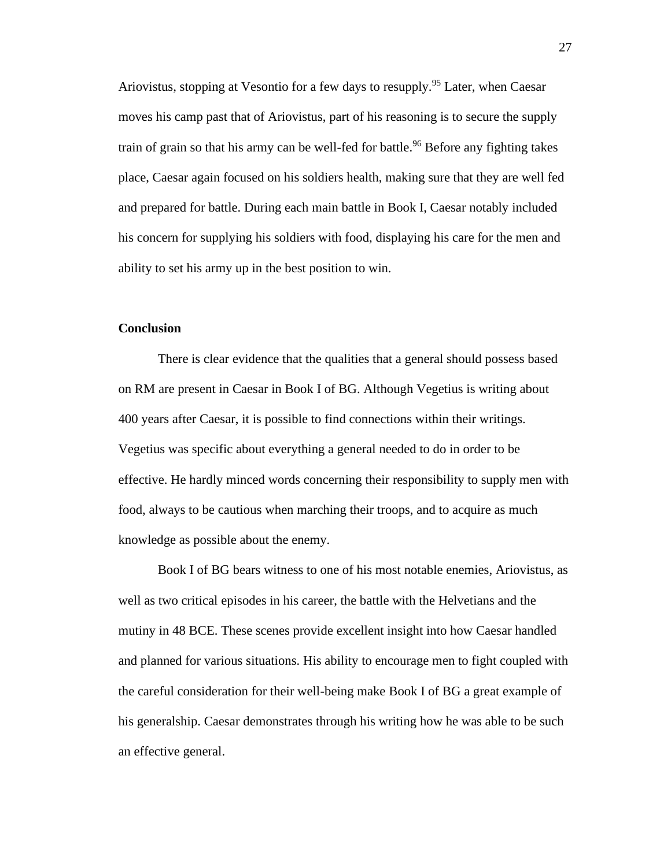Ariovistus, stopping at Vesontio for a few days to resupply.<sup>95</sup> Later, when Caesar moves his camp past that of Ariovistus, part of his reasoning is to secure the supply train of grain so that his army can be well-fed for battle.<sup>96</sup> Before any fighting takes place, Caesar again focused on his soldiers health, making sure that they are well fed and prepared for battle. During each main battle in Book I, Caesar notably included his concern for supplying his soldiers with food, displaying his care for the men and ability to set his army up in the best position to win.

#### **Conclusion**

There is clear evidence that the qualities that a general should possess based on RM are present in Caesar in Book I of BG. Although Vegetius is writing about 400 years after Caesar, it is possible to find connections within their writings. Vegetius was specific about everything a general needed to do in order to be effective. He hardly minced words concerning their responsibility to supply men with food, always to be cautious when marching their troops, and to acquire as much knowledge as possible about the enemy.

Book I of BG bears witness to one of his most notable enemies, Ariovistus, as well as two critical episodes in his career, the battle with the Helvetians and the mutiny in 48 BCE. These scenes provide excellent insight into how Caesar handled and planned for various situations. His ability to encourage men to fight coupled with the careful consideration for their well-being make Book I of BG a great example of his generalship. Caesar demonstrates through his writing how he was able to be such an effective general.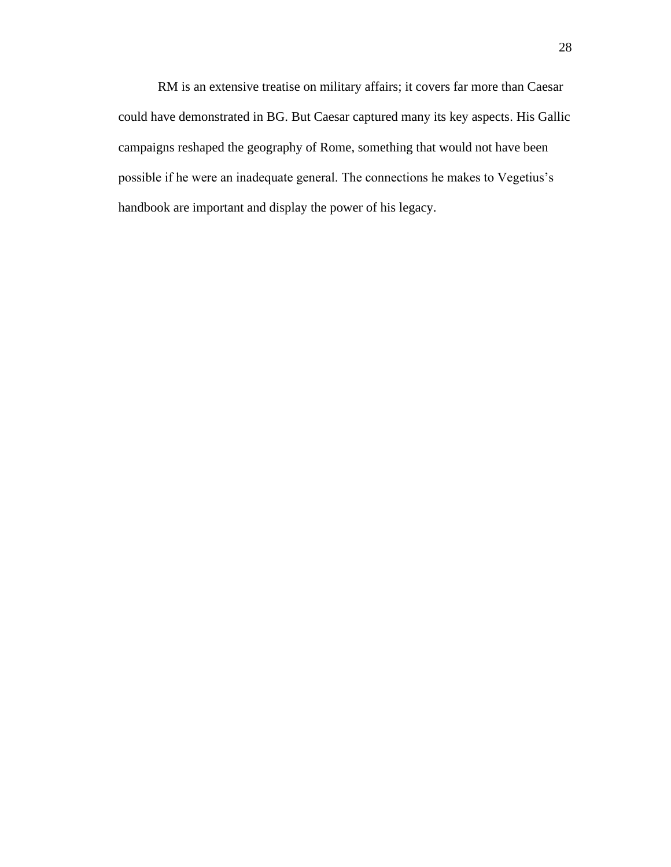RM is an extensive treatise on military affairs; it covers far more than Caesar could have demonstrated in BG. But Caesar captured many its key aspects. His Gallic campaigns reshaped the geography of Rome, something that would not have been possible if he were an inadequate general. The connections he makes to Vegetius's handbook are important and display the power of his legacy.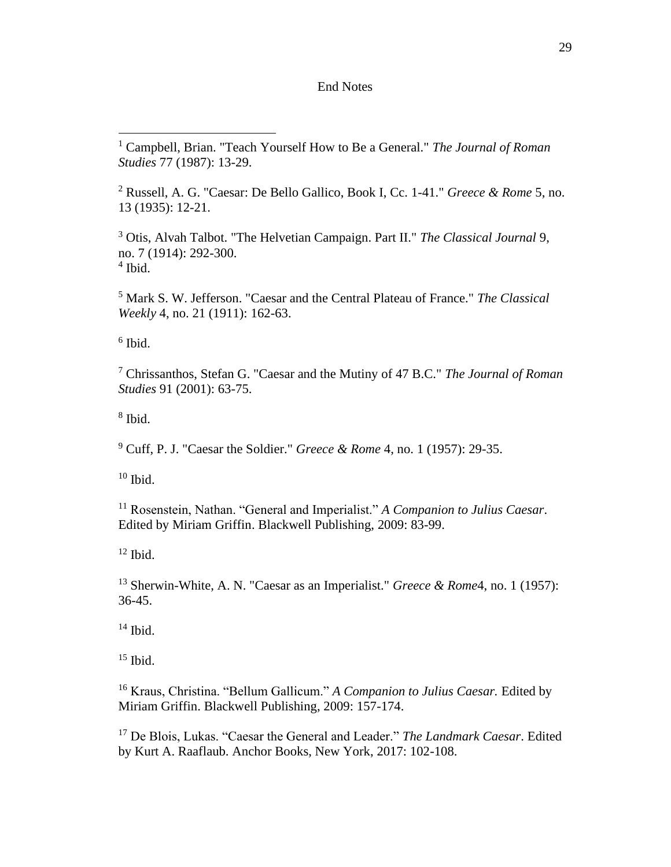#### End Notes

 Russell, A. G. "Caesar: De Bello Gallico, Book I, Cc. 1-41." *Greece & Rome* 5, no. 13 (1935): 12-21.

 Otis, Alvah Talbot. "The Helvetian Campaign. Part II." *The Classical Journal* 9, no. 7 (1914): 292-300. Ibid.

 Mark S. W. Jefferson. "Caesar and the Central Plateau of France." *The Classical Weekly* 4, no. 21 (1911): 162-63.

Ibid.

 Chrissanthos, Stefan G. "Caesar and the Mutiny of 47 B.C." *The Journal of Roman Studies* 91 (2001): 63-75.

Ibid.

Cuff, P. J. "Caesar the Soldier." *Greece & Rome* 4, no. 1 (1957): 29-35.

Ibid.

 Rosenstein, Nathan. "General and Imperialist." *A Companion to Julius Caesar*. Edited by Miriam Griffin. Blackwell Publishing, 2009: 83-99.

Ibid.

 Sherwin-White, A. N. "Caesar as an Imperialist." *Greece & Rome*4, no. 1 (1957): 36-45.

Ibid.

Ibid.

 Kraus, Christina. "Bellum Gallicum." *A Companion to Julius Caesar.* Edited by Miriam Griffin. Blackwell Publishing, 2009: 157-174.

 De Blois, Lukas. "Caesar the General and Leader." *The Landmark Caesar*. Edited by Kurt A. Raaflaub. Anchor Books, New York, 2017: 102-108.

 Campbell, Brian. "Teach Yourself How to Be a General." *The Journal of Roman Studies* 77 (1987): 13-29.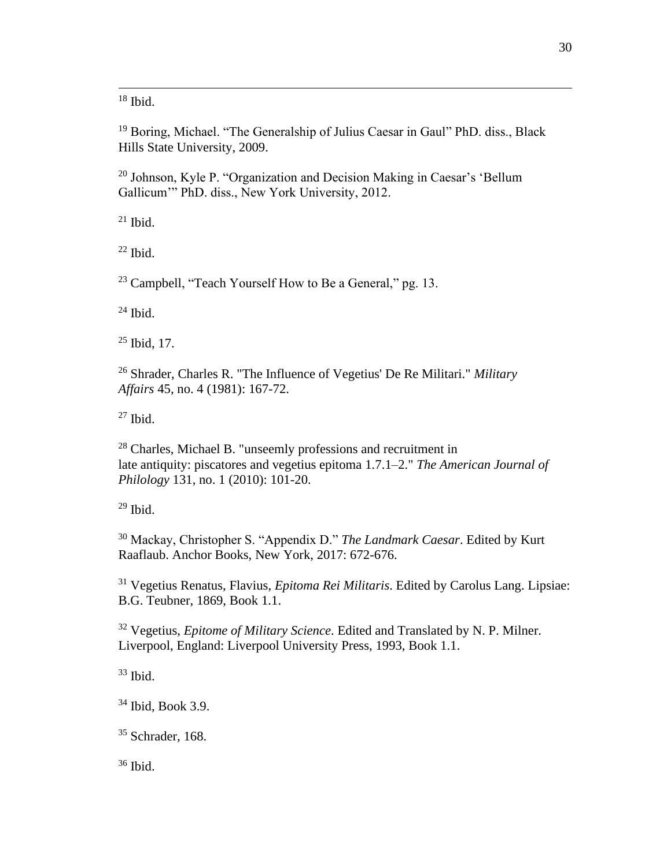Ibid.

<sup>19</sup> Boring, Michael. "The Generalship of Julius Caesar in Gaul" PhD. diss., Black Hills State University, 2009.

 Johnson, Kyle P. "Organization and Decision Making in Caesar's 'Bellum Gallicum'" PhD. diss., New York University, 2012.

Ibid.

Ibid.

<sup>23</sup> Campbell, "Teach Yourself How to Be a General," pg. 13.

Ibid.

Ibid, 17.

 Shrader, Charles R. "The Influence of Vegetius' De Re Militari." *Military Affairs* 45, no. 4 (1981): 167-72.

Ibid.

 Charles, Michael B. "unseemly professions and recruitment in late antiquity: piscatores and vegetius epitoma 1.7.1–2." *The American Journal of Philology* 131, no. 1 (2010): 101-20.

Ibid.

 Mackay, Christopher S. "Appendix D." *The Landmark Caesar*. Edited by Kurt Raaflaub. Anchor Books, New York, 2017: 672-676.

 Vegetius Renatus, Flavius, *Epitoma Rei Militaris*. Edited by Carolus Lang. Lipsiae: B.G. Teubner, 1869, Book 1.1.

 Vegetius, *Epitome of Military Science*. Edited and Translated by N. P. Milner. Liverpool, England: Liverpool University Press, 1993, Book 1.1.

Ibid.

Ibid, Book 3.9.

<sup>35</sup> Schrader, 168.

Ibid.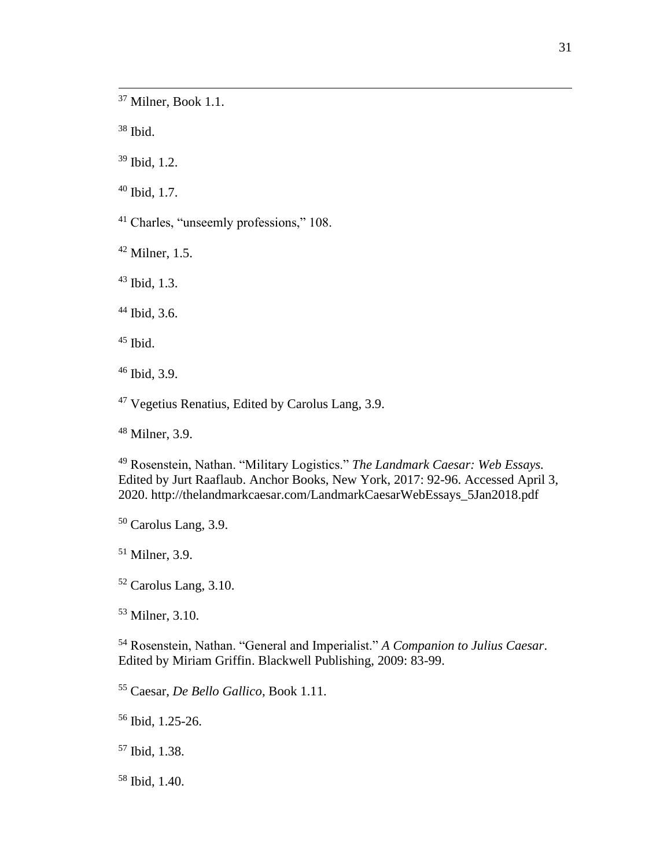Milner, Book 1.1.

Ibid.

Ibid, 1.2.

Ibid, 1.7.

Charles, "unseemly professions," 108.

Milner, 1.5.

Ibid, 1.3.

Ibid, 3.6.

Ibid.

Ibid, 3.9.

Vegetius Renatius, Edited by Carolus Lang, 3.9.

Milner, 3.9.

 Rosenstein, Nathan. "Military Logistics." *The Landmark Caesar: Web Essays.*  Edited by Jurt Raaflaub. Anchor Books, New York, 2017: 92-96. Accessed April 3, 2020. [http://thelandmarkcaesar.com/LandmarkCaesarWebEssays\\_5Jan2018.pdf](http://thelandmarkcaesar.com/LandmarkCaesarWebEssays_5Jan2018.pdf)

Carolus Lang, 3.9.

Milner, 3.9.

Carolus Lang, 3.10.

Milner, 3.10.

 Rosenstein, Nathan. "General and Imperialist." *A Companion to Julius Caesar*. Edited by Miriam Griffin. Blackwell Publishing, 2009: 83-99.

Caesar, *De Bello Gallico*, Book 1.11.

Ibid, 1.25-26.

Ibid, 1.38.

Ibid, 1.40.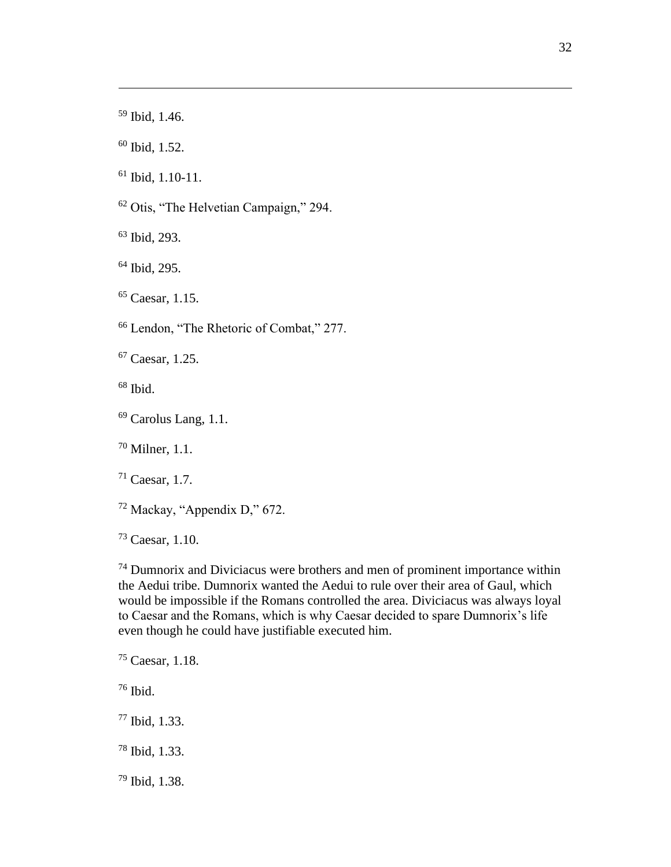Ibid, 1.52.

Ibid, 1.10-11.

Otis, "The Helvetian Campaign," 294.

Ibid, 293.

Ibid, 295.

Caesar, 1.15.

Lendon, "The Rhetoric of Combat," 277.

Caesar, 1.25.

Ibid.

Carolus Lang, 1.1.

Milner, 1.1.

Caesar, 1.7.

Mackay, "Appendix D," 672.

Caesar, 1.10.

 Dumnorix and Diviciacus were brothers and men of prominent importance within the Aedui tribe. Dumnorix wanted the Aedui to rule over their area of Gaul, which would be impossible if the Romans controlled the area. Diviciacus was always loyal to Caesar and the Romans, which is why Caesar decided to spare Dumnorix's life even though he could have justifiable executed him.

Ibid.

Ibid, 1.33.

- Ibid, 1.33.
- Ibid, 1.38.

Caesar, 1.18.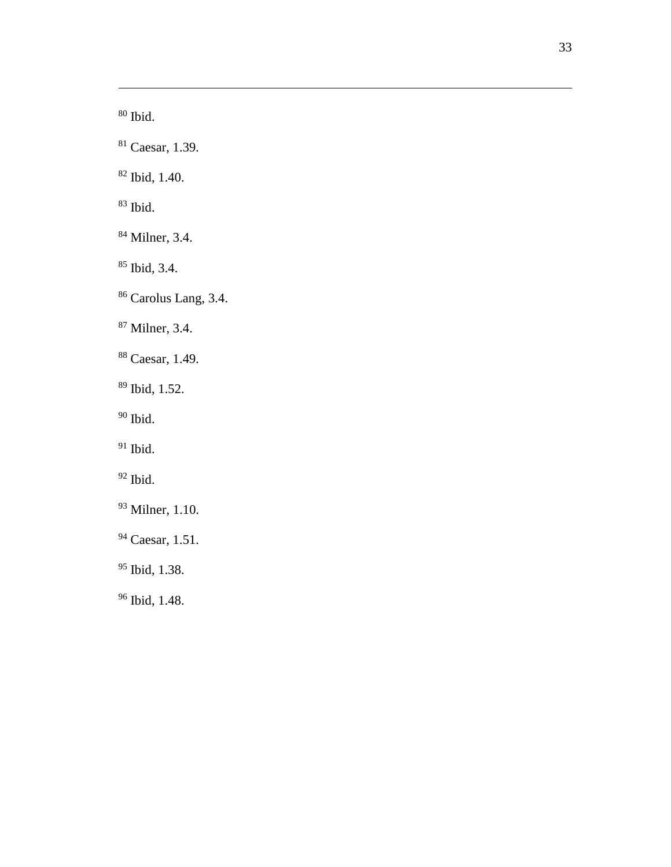Ibid .

- Caesar, 1.39.
- Ibid, 1.40.

Ibid.

- Milner, 3.4.
- Ibid, 3.4.
- <sup>86</sup> Carolus Lang, 3.4.
- Milner, 3.4.
- Caesar, 1.49 .
- Ibid, 1.52.
- $\rm^{90}$  Ibid.
- $^{91}$  Ibid.
- $^{92}$  Ibid.
- Milner, 1.10.
- Caesar, 1.51.
- Ibid, 1.38.
- Ibid, 1.48.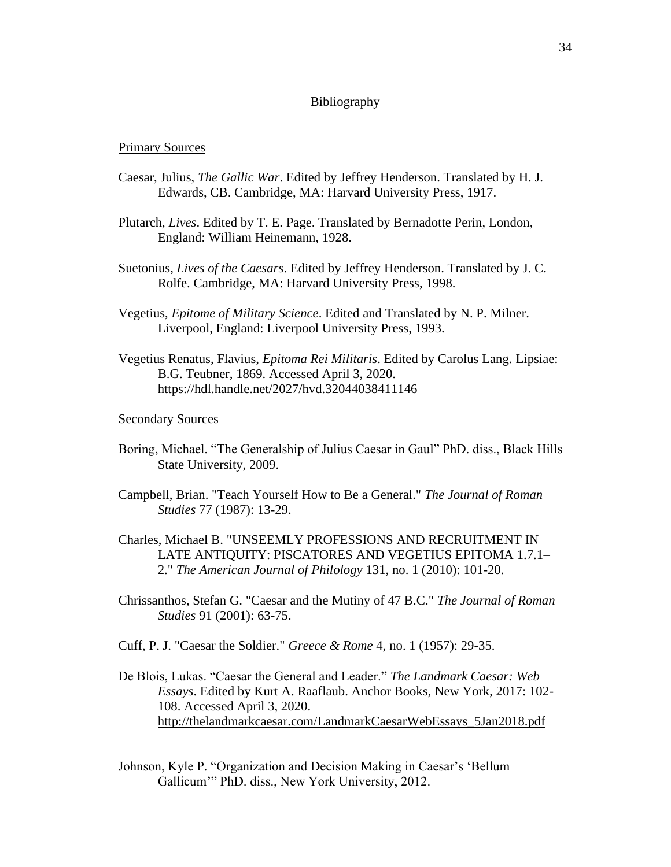#### Bibliography

#### Primary Sources

- Caesar, Julius, *The Gallic War*. Edited by Jeffrey Henderson. Translated by H. J. Edwards, CB. Cambridge, MA: Harvard University Press, 1917.
- Plutarch, *Lives*. Edited by T. E. Page. Translated by Bernadotte Perin, London, England: William Heinemann, 1928.
- Suetonius, *Lives of the Caesars*. Edited by Jeffrey Henderson. Translated by J. C. Rolfe. Cambridge, MA: Harvard University Press, 1998.
- Vegetius, *Epitome of Military Science*. Edited and Translated by N. P. Milner. Liverpool, England: Liverpool University Press, 1993.
- Vegetius Renatus, Flavius, *Epitoma Rei Militaris*. Edited by Carolus Lang. Lipsiae: B.G. Teubner, 1869. Accessed April 3, 2020. https://hdl.handle.net/2027/hvd.32044038411146

Secondary Sources

- Boring, Michael. "The Generalship of Julius Caesar in Gaul" PhD. diss., Black Hills State University, 2009.
- Campbell, Brian. "Teach Yourself How to Be a General." *The Journal of Roman Studies* 77 (1987): 13-29.
- Charles, Michael B. "UNSEEMLY PROFESSIONS AND RECRUITMENT IN LATE ANTIQUITY: PISCATORES AND VEGETIUS EPITOMA 1.7.1– 2." *The American Journal of Philology* 131, no. 1 (2010): 101-20.
- Chrissanthos, Stefan G. "Caesar and the Mutiny of 47 B.C." *The Journal of Roman Studies* 91 (2001): 63-75.
- Cuff, P. J. "Caesar the Soldier." *Greece & Rome* 4, no. 1 (1957): 29-35.
- De Blois, Lukas. "Caesar the General and Leader." *The Landmark Caesar: Web Essays*. Edited by Kurt A. Raaflaub. Anchor Books, New York, 2017: 102- 108. Accessed April 3, 2020. [http://thelandmarkcaesar.com/LandmarkCaesarWebEssays\\_5Jan2018.pdf](http://thelandmarkcaesar.com/LandmarkCaesarWebEssays_5Jan2018.pdf)
- Johnson, Kyle P. "Organization and Decision Making in Caesar's 'Bellum Gallicum'" PhD. diss., New York University, 2012.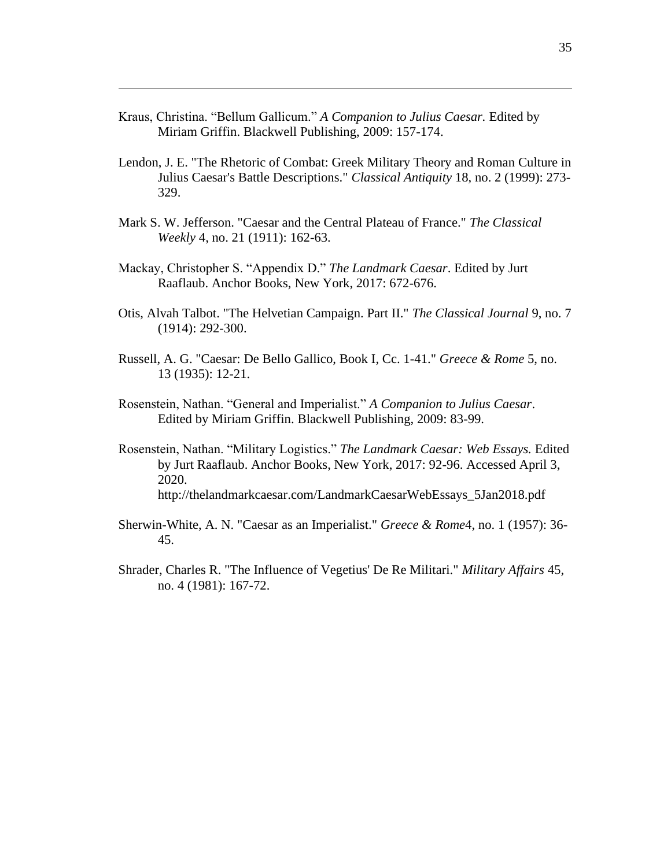- Kraus, Christina. "Bellum Gallicum." *A Companion to Julius Caesar.* Edited by Miriam Griffin. Blackwell Publishing, 2009: 157-174.
- Lendon, J. E. "The Rhetoric of Combat: Greek Military Theory and Roman Culture in Julius Caesar's Battle Descriptions." *Classical Antiquity* 18, no. 2 (1999): 273- 329.
- Mark S. W. Jefferson. "Caesar and the Central Plateau of France." *The Classical Weekly* 4, no. 21 (1911): 162-63.
- Mackay, Christopher S. "Appendix D." *The Landmark Caesar*. Edited by Jurt Raaflaub. Anchor Books, New York, 2017: 672-676.
- Otis, Alvah Talbot. "The Helvetian Campaign. Part II." *The Classical Journal* 9, no. 7 (1914): 292-300.
- Russell, A. G. "Caesar: De Bello Gallico, Book I, Cc. 1-41." *Greece & Rome* 5, no. 13 (1935): 12-21.
- Rosenstein, Nathan. "General and Imperialist." *A Companion to Julius Caesar*. Edited by Miriam Griffin. Blackwell Publishing, 2009: 83-99.
- Rosenstein, Nathan. "Military Logistics." *The Landmark Caesar: Web Essays.* Edited by Jurt Raaflaub. Anchor Books, New York, 2017: 92-96. Accessed April 3, 2020. [http://thelandmarkcaesar.com/LandmarkCaesarWebEssays\\_5Jan2018.pdf](http://thelandmarkcaesar.com/LandmarkCaesarWebEssays_5Jan2018.pdf)
- Sherwin-White, A. N. "Caesar as an Imperialist." *Greece & Rome*4, no. 1 (1957): 36- 45.
- Shrader, Charles R. "The Influence of Vegetius' De Re Militari." *Military Affairs* 45, no. 4 (1981): 167-72.